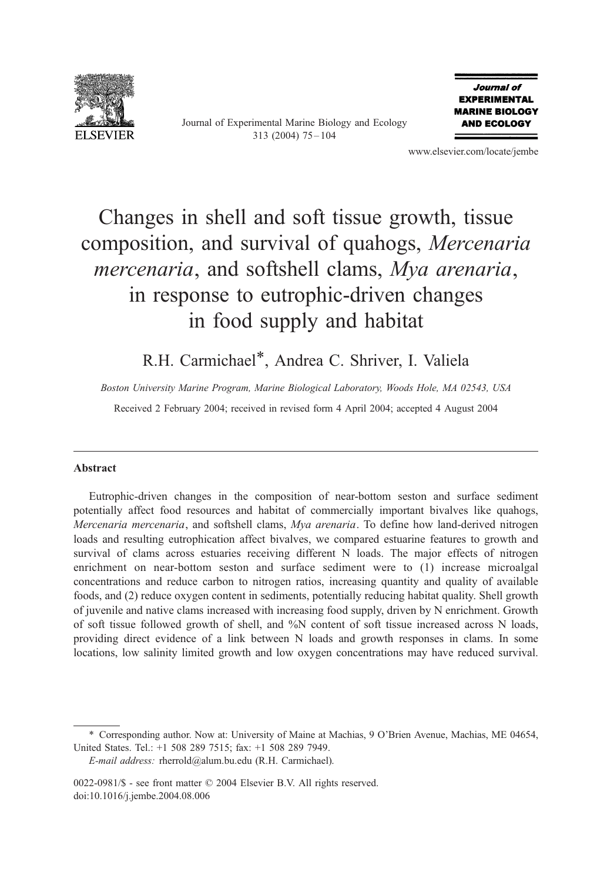

Journal of Experimental Marine Biology and Ecology 313 (2004) 75 – 104



www.elsevier.com/locate/jembe

# Changes in shell and soft tissue growth, tissue composition, and survival of quahogs, Mercenaria mercenaria, and softshell clams, Mya arenaria, in response to eutrophic-driven changes in food supply and habitat

R.H. Carmichael\*, Andrea C. Shriver, I. Valiela

Boston University Marine Program, Marine Biological Laboratory, Woods Hole, MA 02543, USA

Received 2 February 2004; received in revised form 4 April 2004; accepted 4 August 2004

#### Abstract

Eutrophic-driven changes in the composition of near-bottom seston and surface sediment potentially affect food resources and habitat of commercially important bivalves like quahogs, Mercenaria mercenaria, and softshell clams, Mya arenaria. To define how land-derived nitrogen loads and resulting eutrophication affect bivalves, we compared estuarine features to growth and survival of clams across estuaries receiving different N loads. The major effects of nitrogen enrichment on near-bottom seston and surface sediment were to (1) increase microalgal concentrations and reduce carbon to nitrogen ratios, increasing quantity and quality of available foods, and (2) reduce oxygen content in sediments, potentially reducing habitat quality. Shell growth of juvenile and native clams increased with increasing food supply, driven by N enrichment. Growth of soft tissue followed growth of shell, and %N content of soft tissue increased across N loads, providing direct evidence of a link between N loads and growth responses in clams. In some locations, low salinity limited growth and low oxygen concentrations may have reduced survival.

E-mail address: rherrold@alum.bu.edu (R.H. Carmichael).

0022-0981/\$ - see front matter © 2004 Elsevier B.V. All rights reserved. doi:10.1016/j.jembe.2004.08.006

<sup>\*</sup> Corresponding author. Now at: University of Maine at Machias, 9 O'Brien Avenue, Machias, ME 04654, United States. Tel.: +1 508 289 7515; fax: +1 508 289 7949.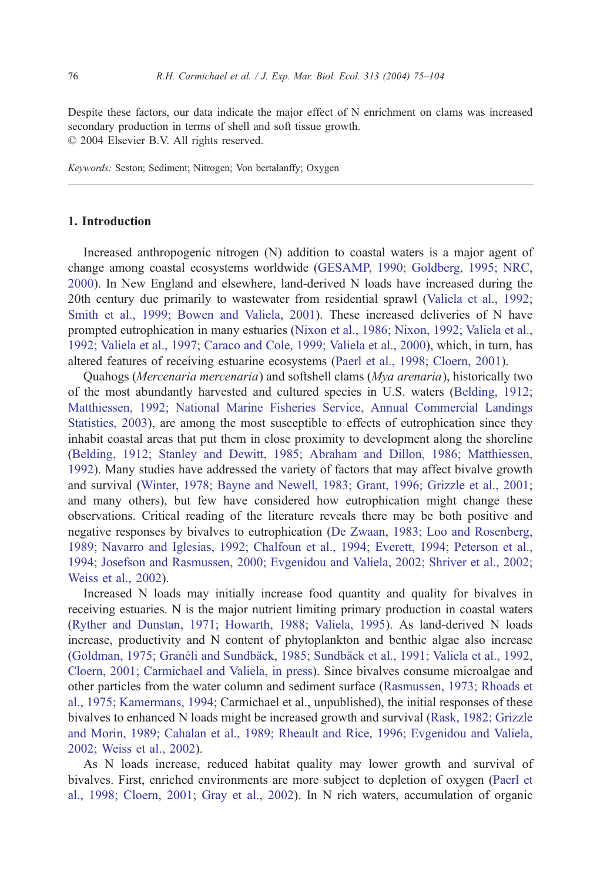Despite these factors, our data indicate the major effect of N enrichment on clams was increased secondary production in terms of shell and soft tissue growth.  $© 2004 Elsevier B.V. All rights reserved.$ 

Keywords: Seston; Sediment; Nitrogen; Von bertalanffy; Oxygen

# 1. Introduction

Increased anthropogenic nitrogen (N) addition to coastal waters is a major agent of change among coastal ecosystems worldwide ([GESAMP, 1990; Goldberg, 1995; NRC,](#page-26-0) 2000). In New England and elsewhere, land-derived N loads have increased during the 20th century due primarily to wastewater from residential sprawl ([Valiela et al., 1992;](#page-29-0) Smith et al., 1999; Bowen and Valiela, 2001). These increased deliveries of N have prompted eutrophication in many estuaries ([Nixon et al., 1986; Nixon, 1992; Valiela et al.,](#page-28-0) 1992; Valiela et al., 1997; Caraco and Cole, 1999; Valiela et al., 2000), which, in turn, has altered features of receiving estuarine ecosystems ([Paerl et al., 1998; Cloern, 2001\)](#page-28-0).

Quahogs (Mercenaria mercenaria) and softshell clams (Mya arenaria), historically two of the most abundantly harvested and cultured species in U.S. waters ([Belding, 1912;](#page-24-0) Matthiessen, 1992; National Marine Fisheries Service, Annual Commercial Landings Statistics, 2003), are among the most susceptible to effects of eutrophication since they inhabit coastal areas that put them in close proximity to development along the shoreline ([Belding, 1912; Stanley and Dewitt, 1985; Abraham and Dillon, 1986; Matthiessen,](#page-24-0) 1992). Many studies have addressed the variety of factors that may affect bivalve growth and survival ([Winter, 1978; Bayne and Newell, 1983; Grant, 1996; Grizzle et al., 2001;](#page-29-0) and many others), but few have considered how eutrophication might change these observations. Critical reading of the literature reveals there may be both positive and negative responses by bivalves to eutrophication ([De Zwaan, 1983; Loo and Rosenberg,](#page-25-0) 1989; Navarro and Iglesias, 1992; Chalfoun et al., 1994; Everett, 1994; Peterson et al., 1994; Josefson and Rasmussen, 2000; Evgenidou and Valiela, 2002; Shriver et al., 2002; Weiss et al., 2002).

Increased N loads may initially increase food quantity and quality for bivalves in receiving estuaries. N is the major nutrient limiting primary production in coastal waters ([Ryther and Dunstan, 1971; Howarth, 1988; Valiela, 1995\)](#page-28-0). As land-derived N loads increase, productivity and N content of phytoplankton and benthic algae also increase (Goldman, 1975; Granéli and Sundbäck, 1985; Sundbäck et al., 1991; Valiela et al., 1992, Cloern, 2001; Carmichael and Valiela, in press). Since bivalves consume microalgae and other particles from the water column and sediment surface ([Rasmussen, 1973; Rhoads et](#page-28-0) al., 1975; Kamermans, 1994; Carmichael et al., unpublished), the initial responses of these bivalves to enhanced N loads might be increased growth and survival ([Rask, 1982; Grizzle](#page-28-0) and Morin, 1989; Cahalan et al., 1989; Rheault and Rice, 1996; Evgenidou and Valiela, 2002; Weiss et al., 2002).

As N loads increase, reduced habitat quality may lower growth and survival of bivalves. First, enriched environments are more subject to depletion of oxygen ([Paerl et](#page-28-0) al., 1998; Cloern, 2001; Gray et al., 2002). In N rich waters, accumulation of organic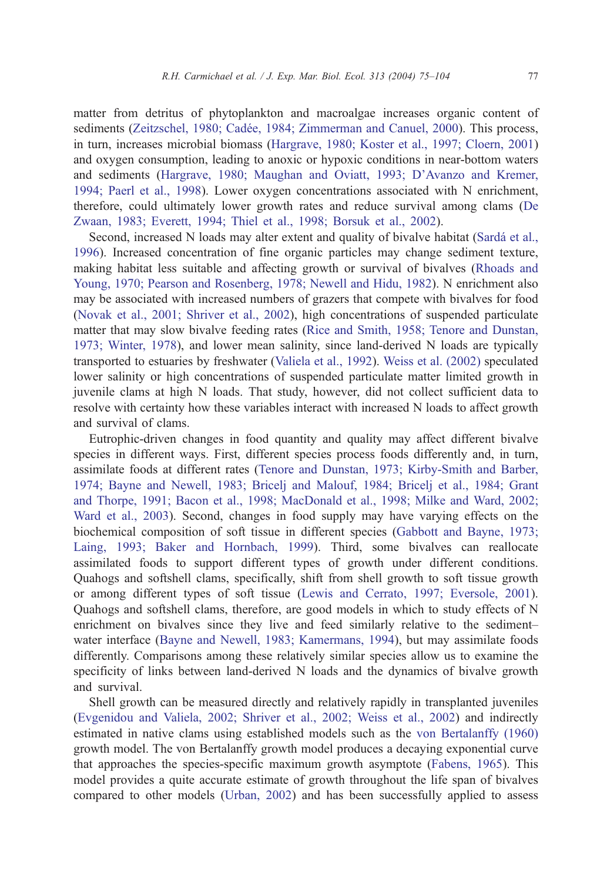matter from detritus of phytoplankton and macroalgae increases organic content of sediments (Zeitzschel, 1980; Cadée, 1984; Zimmerman and Canuel, 2000). This process, in turn, increases microbial biomass ([Hargrave, 1980; Koster et al., 1997; Cloern, 2001\)](#page-26-0) and oxygen consumption, leading to anoxic or hypoxic conditions in near-bottom waters and sediments ([Hargrave, 1980; Maughan and Oviatt, 1993; D'Avanzo and Kremer,](#page-26-0) 1994; Paerl et al., 1998). Lower oxygen concentrations associated with N enrichment, therefore, could ultimately lower growth rates and reduce survival among clams ([De](#page-25-0) Zwaan, 1983; Everett, 1994; Thiel et al., 1998; Borsuk et al., 2002).

Second, increased N loads may alter extent and quality of bivalve habitat (Sardá et al., 1996). Increased concentration of fine organic particles may change sediment texture, making habitat less suitable and affecting growth or survival of bivalves ([Rhoads and](#page-28-0) Young, 1970; Pearson and Rosenberg, 1978; Newell and Hidu, 1982). N enrichment also may be associated with increased numbers of grazers that compete with bivalves for food ([Novak et al., 2001; Shriver et al., 2002\)](#page-28-0), high concentrations of suspended particulate matter that may slow bivalve feeding rates ([Rice and Smith, 1958; Tenore and Dunstan,](#page-28-0) 1973; Winter, 1978), and lower mean salinity, since land-derived N loads are typically transported to estuaries by freshwater ([Valiela et al., 1992\)](#page-29-0). [Weiss et al. \(2002\)](#page-29-0) speculated lower salinity or high concentrations of suspended particulate matter limited growth in juvenile clams at high N loads. That study, however, did not collect sufficient data to resolve with certainty how these variables interact with increased N loads to affect growth and survival of clams.

Eutrophic-driven changes in food quantity and quality may affect different bivalve species in different ways. First, different species process foods differently and, in turn, assimilate foods at different rates ([Tenore and Dunstan, 1973; Kirby-Smith and Barber,](#page-29-0) 1974; Bayne and Newell, 1983; Bricelj and Malouf, 1984; Bricelj et al., 1984; Grant and Thorpe, 1991; Bacon et al., 1998; MacDonald et al., 1998; Milke and Ward, 2002; Ward et al., 2003). Second, changes in food supply may have varying effects on the biochemical composition of soft tissue in different species ([Gabbott and Bayne, 1973;](#page-26-0) Laing, 1993; Baker and Hornbach, 1999). Third, some bivalves can reallocate assimilated foods to support different types of growth under different conditions. Quahogs and softshell clams, specifically, shift from shell growth to soft tissue growth or among different types of soft tissue ([Lewis and Cerrato, 1997; Eversole, 2001\)](#page-27-0). Quahogs and softshell clams, therefore, are good models in which to study effects of N enrichment on bivalves since they live and feed similarly relative to the sediment– water interface ([Bayne and Newell, 1983; Kamermans, 1994\)](#page-24-0), but may assimilate foods differently. Comparisons among these relatively similar species allow us to examine the specificity of links between land-derived N loads and the dynamics of bivalve growth and survival.

Shell growth can be measured directly and relatively rapidly in transplanted juveniles ([Evgenidou and Valiela, 2002; Shriver et al., 2002; Weiss et al., 2002\)](#page-25-0) and indirectly estimated in native clams using established models such as the [von Bertalanffy \(1960\)](#page-29-0) growth model. The von Bertalanffy growth model produces a decaying exponential curve that approaches the species-specific maximum growth asymptote ([Fabens, 1965\)](#page-26-0). This model provides a quite accurate estimate of growth throughout the life span of bivalves compared to other models ([Urban, 2002\)](#page-29-0) and has been successfully applied to assess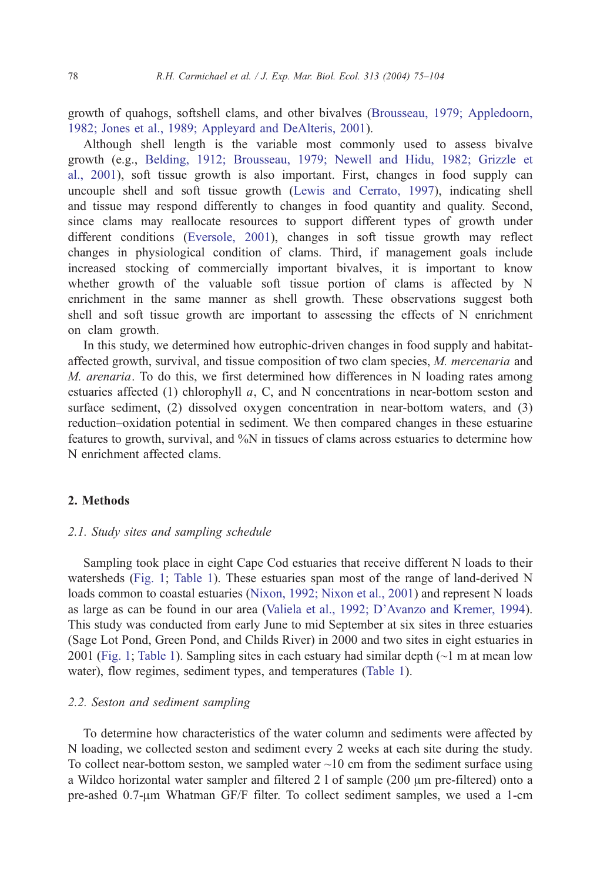growth of quahogs, softshell clams, and other bivalves ([Brousseau, 1979; Appledoorn,](#page-25-0) 1982; Jones et al., 1989; Appleyard and DeAlteris, 2001).

Although shell length is the variable most commonly used to assess bivalve growth (e.g., [Belding, 1912; Brousseau, 1979; Newell and Hidu, 1982; Grizzle et](#page-24-0) al., 2001), soft tissue growth is also important. First, changes in food supply can uncouple shell and soft tissue growth ([Lewis and Cerrato, 1997\)](#page-27-0), indicating shell and tissue may respond differently to changes in food quantity and quality. Second, since clams may reallocate resources to support different types of growth under different conditions ([Eversole, 2001\)](#page-25-0), changes in soft tissue growth may reflect changes in physiological condition of clams. Third, if management goals include increased stocking of commercially important bivalves, it is important to know whether growth of the valuable soft tissue portion of clams is affected by N enrichment in the same manner as shell growth. These observations suggest both shell and soft tissue growth are important to assessing the effects of N enrichment on clam growth.

In this study, we determined how eutrophic-driven changes in food supply and habitataffected growth, survival, and tissue composition of two clam species, M. mercenaria and M. arenaria. To do this, we first determined how differences in N loading rates among estuaries affected (1) chlorophyll a, C, and N concentrations in near-bottom seston and surface sediment, (2) dissolved oxygen concentration in near-bottom waters, and (3) reduction–oxidation potential in sediment. We then compared changes in these estuarine features to growth, survival, and %N in tissues of clams across estuaries to determine how N enrichment affected clams.

# 2. Methods

## 2.1. Study sites and sampling schedule

Sampling took place in eight Cape Cod estuaries that receive different N loads to their watersheds ([Fig. 1;](#page-4-0) [Table 1\)](#page-5-0). These estuaries span most of the range of land-derived N loads common to coastal estuaries ([Nixon, 1992; Nixon et al., 2001\)](#page-28-0) and represent N loads as large as can be found in our area ([Valiela et al., 1992; D'Avanzo and Kremer, 1994\)](#page-29-0). This study was conducted from early June to mid September at six sites in three estuaries (Sage Lot Pond, Green Pond, and Childs River) in 2000 and two sites in eight estuaries in 2001 ([Fig. 1;](#page-4-0) [Table 1\)](#page-5-0). Sampling sites in each estuary had similar depth (~1 m at mean low water), flow regimes, sediment types, and temperatures ([Table 1\)](#page-5-0).

#### 2.2. Seston and sediment sampling

To determine how characteristics of the water column and sediments were affected by N loading, we collected seston and sediment every 2 weeks at each site during the study. To collect near-bottom seston, we sampled water  $\sim$ 10 cm from the sediment surface using a Wildco horizontal water sampler and filtered 2 l of sample  $(200 \mu m)$  pre-filtered) onto a pre-ashed 0.7- $\mu$ m Whatman GF/F filter. To collect sediment samples, we used a 1-cm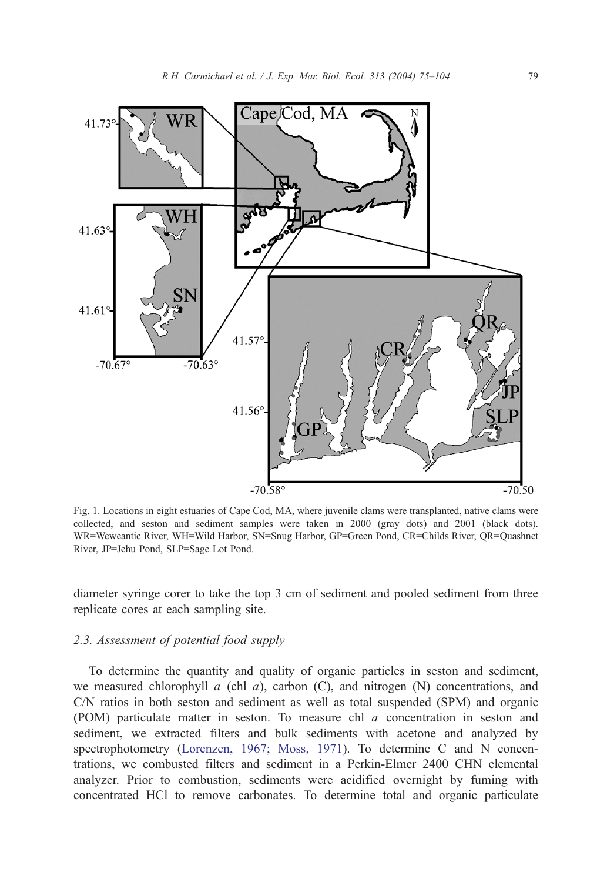<span id="page-4-0"></span>

Fig. 1. Locations in eight estuaries of Cape Cod, MA, where juvenile clams were transplanted, native clams were collected, and seston and sediment samples were taken in 2000 (gray dots) and 2001 (black dots). WR=Weweantic River, WH=Wild Harbor, SN=Snug Harbor, GP=Green Pond, CR=Childs River, QR=Quashnet River, JP=Jehu Pond, SLP=Sage Lot Pond.

diameter syringe corer to take the top 3 cm of sediment and pooled sediment from three replicate cores at each sampling site.

# 2.3. Assessment of potential food supply

To determine the quantity and quality of organic particles in seston and sediment, we measured chlorophyll  $a$  (chl  $a$ ), carbon (C), and nitrogen (N) concentrations, and C/N ratios in both seston and sediment as well as total suspended (SPM) and organic (POM) particulate matter in seston. To measure chl a concentration in seston and sediment, we extracted filters and bulk sediments with acetone and analyzed by spectrophotometry ([Lorenzen, 1967; Moss, 1971\)](#page-27-0). To determine C and N concentrations, we combusted filters and sediment in a Perkin-Elmer 2400 CHN elemental analyzer. Prior to combustion, sediments were acidified overnight by fuming with concentrated HCl to remove carbonates. To determine total and organic particulate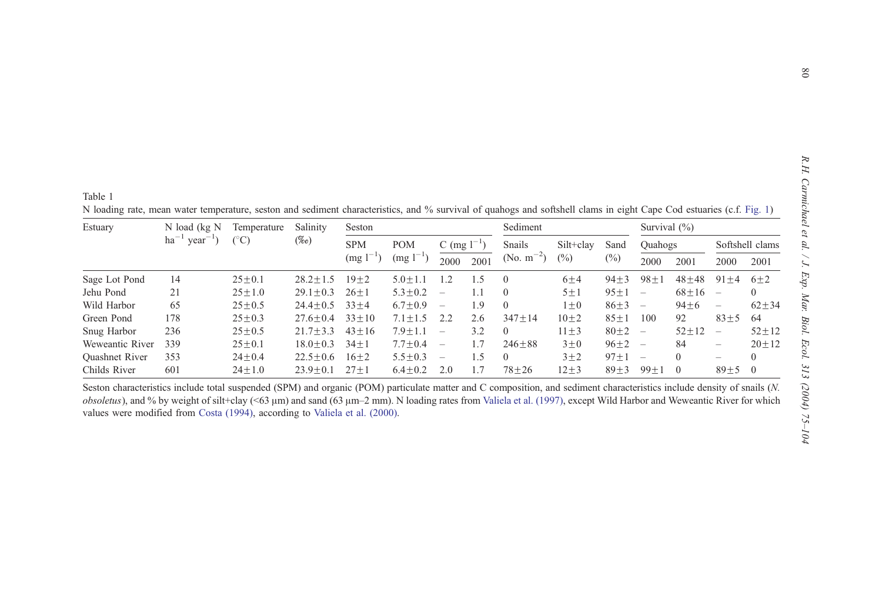<span id="page-5-0"></span>Table 1N loading rate, mean water temperature, seston and sediment characteristics, and % survival of quahogs and softshell clams in eight Cape Cod estuaries (c.f. [Fig.](#page-4-0) 1)

| Estuary         | N load (kg N<br>$ha^{-1}$ year <sup>-1</sup> ) | Temperature<br>$(^\circ C)$ | Salinity<br>$(\%o)$ | Seston              |                     |                          | Sediment |                        |            | Survival $(\%)$ |                          |             |                          |                   |
|-----------------|------------------------------------------------|-----------------------------|---------------------|---------------------|---------------------|--------------------------|----------|------------------------|------------|-----------------|--------------------------|-------------|--------------------------|-------------------|
|                 |                                                |                             |                     | <b>SPM</b><br>(mg l | <b>POM</b><br>(mg l | C (mg $1^{-1}$ )         |          | <b>Snails</b>          | Silt+clay  | Sand<br>$(\%)$  | Quahogs                  |             | Softshell clams          |                   |
|                 |                                                |                             |                     |                     |                     | 2000                     | 2001     | (No. $m^{-2}$ )<br>(%) | 2000       |                 | 2001                     | 2000        | 2001                     |                   |
| Sage Lot Pond   | 14                                             | $25 + 0.1$                  | $28.2 + 1.5$        | $19 + 2$            | $5.0 + 1.1$         | .2                       | 1.5      | $\Omega$               | 6±4        | $94 + 3$        | $98+$                    | $48 + 48$   | $91 + 4$                 | $6 + 2$           |
| Jehu Pond       | 21                                             | $25 + 1.0$                  | $29.1 + 0.3$        | $26 + 1$            | $5.3 \pm 0.2$       | $\overline{\phantom{a}}$ | 1.1      | $\Omega$               | $5 \pm 1$  | $95 + 1$        |                          | $68 + 16$   | $\overline{\phantom{a}}$ | $\theta$          |
| Wild Harbor     | 65                                             | $25 + 0.5$                  | $24.4+0.5$          | $33 + 4$            | $6.7 \pm 0.9$       |                          | 1.9      | $\theta$               | $1\pm 0$   | $86 + 3$        |                          | $94 \pm 6$  |                          | $62 + 34$         |
| Green Pond      | 178                                            | $25+0.3$                    | $27.6 + 0.4$        | $33 + 10$           | $7.1 \pm 1.5$       | 2.2                      | 2.6      | $347 + 14$             | $10\pm2$   | $85 + 1$        | 100                      | 92          | $83 + 5$                 | 64                |
| Snug Harbor     | 236                                            | $25 + 0.5$                  | $21.7 + 3.3$        | $43 + 16$           | $7.9 + 1.1$         |                          | 3.2      | $\Omega$               | $11 \pm 3$ | $80\pm2$        | -                        | $52 \pm 12$ | $\overline{\phantom{0}}$ | $52 + 12$         |
| Weweantic River | 339                                            | $25 \pm 0.1$                | $18.0 + 0.3$        | $34 + 1$            | $7.7 \pm 0.4$       | $\overline{\phantom{0}}$ | 1.7      | $246 + 88$             | $3\pm 0$   | $96 + 2$        | $\overline{\phantom{0}}$ | 84          |                          | $20 \pm 12$       |
| Quashnet River  | 353                                            | $24+0.4$                    | $22.5 + 0.6$        | $16 + 2$            | $5.5 \pm 0.3$       | $\overline{\phantom{0}}$ | l.5      | $\Omega$               | $3+2$      | $97 \pm 1$      |                          | $\Omega$    | $\overline{\phantom{a}}$ | $\Omega$          |
| Childs River    | 601                                            | $24 + 1.0$                  | $23.9 + 0.1$        | $27 + 1$            | $6.4 \pm 0.2$       | 2.0                      | 1.7      | $78 + 26$              | $12 \pm 3$ | $89 + 3$        | $99+$                    | $\theta$    | $89 + 5$                 | $\hspace{0.6cm}0$ |

Seston characteristics include total suspended (SPM) and organic (POM) particulate matter and C composition, and sediment characteristics include density of snails (N. obsoletus), and % by weight of silt+clay (<63 µm) and sand (63 µm–2 mm). N loading rates from Valiela et al. [\(1997\)](#page-29-0), except Wild Harbor and Weweantic River for which values were modified from Costa [\(1994\)](#page-25-0), according to Valiela et al. [\(2000\)](#page-29-0).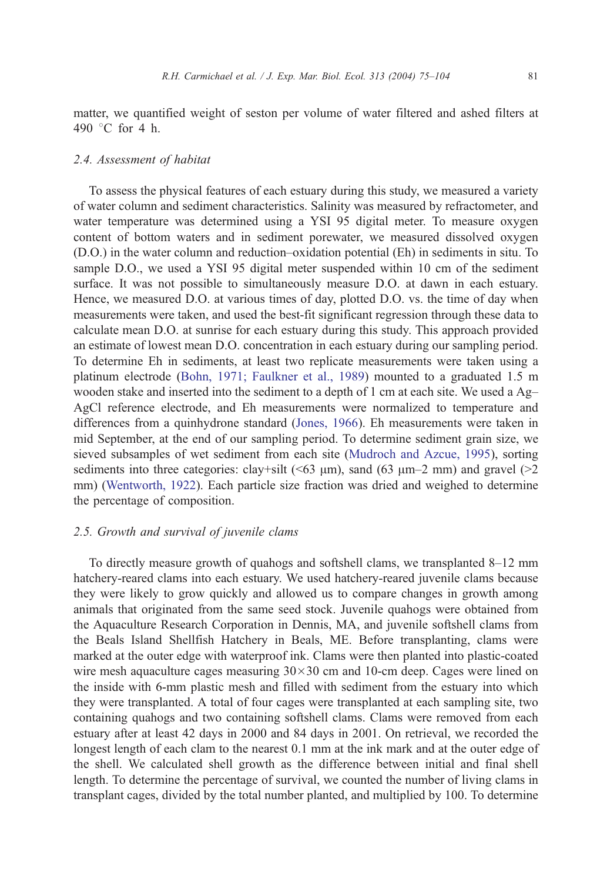matter, we quantified weight of seston per volume of water filtered and ashed filters at 490  $\degree$ C for 4 h.

# 2.4. Assessment of habitat

To assess the physical features of each estuary during this study, we measured a variety of water column and sediment characteristics. Salinity was measured by refractometer, and water temperature was determined using a YSI 95 digital meter. To measure oxygen content of bottom waters and in sediment porewater, we measured dissolved oxygen (D.O.) in the water column and reduction–oxidation potential (Eh) in sediments in situ. To sample D.O., we used a YSI 95 digital meter suspended within 10 cm of the sediment surface. It was not possible to simultaneously measure D.O. at dawn in each estuary. Hence, we measured D.O. at various times of day, plotted D.O. vs. the time of day when measurements were taken, and used the best-fit significant regression through these data to calculate mean D.O. at sunrise for each estuary during this study. This approach provided an estimate of lowest mean D.O. concentration in each estuary during our sampling period. To determine Eh in sediments, at least two replicate measurements were taken using a platinum electrode ([Bohn, 1971; Faulkner et al., 1989\)](#page-24-0) mounted to a graduated 1.5 m wooden stake and inserted into the sediment to a depth of 1 cm at each site. We used a Ag– AgCl reference electrode, and Eh measurements were normalized to temperature and differences from a quinhydrone standard ([Jones, 1966\)](#page-26-0). Eh measurements were taken in mid September, at the end of our sampling period. To determine sediment grain size, we sieved subsamples of wet sediment from each site ([Mudroch and Azcue, 1995\)](#page-27-0), sorting sediments into three categories: clay+silt ( $\leq 63$  µm), sand (63 µm–2 mm) and gravel ( $\geq 2$ mm) ([Wentworth, 1922\)](#page-29-0). Each particle size fraction was dried and weighed to determine the percentage of composition.

# 2.5. Growth and survival of juvenile clams

To directly measure growth of quahogs and softshell clams, we transplanted 8–12 mm hatchery-reared clams into each estuary. We used hatchery-reared juvenile clams because they were likely to grow quickly and allowed us to compare changes in growth among animals that originated from the same seed stock. Juvenile quahogs were obtained from the Aquaculture Research Corporation in Dennis, MA, and juvenile softshell clams from the Beals Island Shellfish Hatchery in Beals, ME. Before transplanting, clams were marked at the outer edge with waterproof ink. Clams were then planted into plastic-coated wire mesh aquaculture cages measuring  $30 \times 30$  cm and 10-cm deep. Cages were lined on the inside with 6-mm plastic mesh and filled with sediment from the estuary into which they were transplanted. A total of four cages were transplanted at each sampling site, two containing quahogs and two containing softshell clams. Clams were removed from each estuary after at least 42 days in 2000 and 84 days in 2001. On retrieval, we recorded the longest length of each clam to the nearest 0.1 mm at the ink mark and at the outer edge of the shell. We calculated shell growth as the difference between initial and final shell length. To determine the percentage of survival, we counted the number of living clams in transplant cages, divided by the total number planted, and multiplied by 100. To determine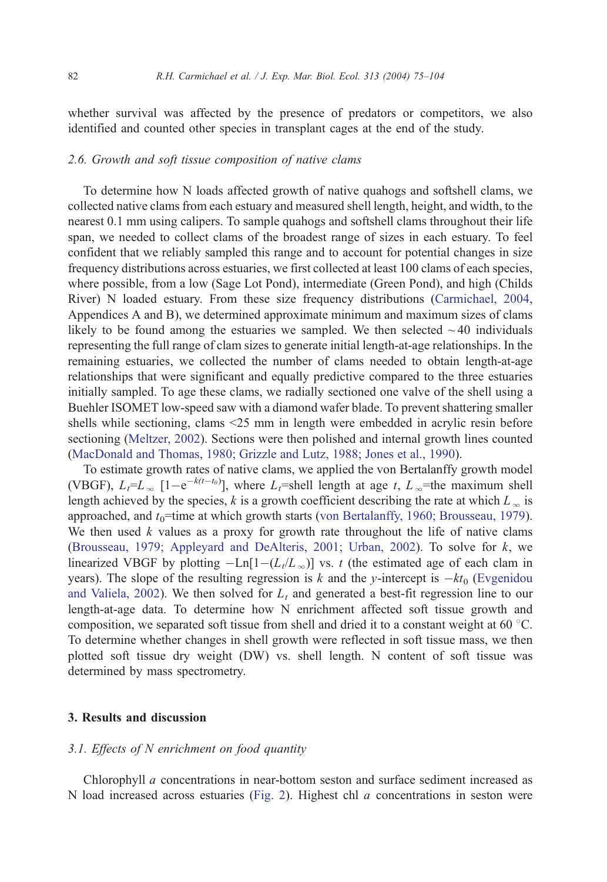whether survival was affected by the presence of predators or competitors, we also identified and counted other species in transplant cages at the end of the study.

# 2.6. Growth and soft tissue composition of native clams

To determine how N loads affected growth of native quahogs and softshell clams, we collected native clams from each estuary and measured shell length, height, and width, to the nearest 0.1 mm using calipers. To sample quahogs and softshell clams throughout their life span, we needed to collect clams of the broadest range of sizes in each estuary. To feel confident that we reliably sampled this range and to account for potential changes in size frequency distributions across estuaries, we first collected at least 100 clams of each species, where possible, from a low (Sage Lot Pond), intermediate (Green Pond), and high (Childs River) N loaded estuary. From these size frequency distributions ([Carmichael, 2004,](#page-25-0) Appendices A and B), we determined approximate minimum and maximum sizes of clams likely to be found among the estuaries we sampled. We then selected  $\sim$  40 individuals representing the full range of clam sizes to generate initial length-at-age relationships. In the remaining estuaries, we collected the number of clams needed to obtain length-at-age relationships that were significant and equally predictive compared to the three estuaries initially sampled. To age these clams, we radially sectioned one valve of the shell using a Buehler ISOMET low-speed saw with a diamond wafer blade. To prevent shattering smaller shells while sectioning, clams  $\leq 25$  mm in length were embedded in acrylic resin before sectioning [\(Meltzer, 2002\)](#page-27-0). Sections were then polished and internal growth lines counted ([MacDonald and Thomas, 1980; Grizzle and Lutz, 1988; Jones et al., 1990\)](#page-27-0).

To estimate growth rates of native clams, we applied the von Bertalanffy growth model (VBGF),  $L_t = L_{\infty}$  [1-e<sup>-k(t-t<sub>0</sub>)</sup>], where  $L_t$ =shell length at age t,  $L_{\infty}$ =the maximum shell length achieved by the species, k is a growth coefficient describing the rate at which  $L_{\infty}$  is approached, and  $t_0$ =time at which growth starts ([von Bertalanffy, 1960; Brousseau, 1979\)](#page-29-0). We then used  $k$  values as a proxy for growth rate throughout the life of native clams ([Brousseau, 1979; Appleyard and DeAlteris, 2001; Urban, 2002\)](#page-25-0). To solve for k, we linearized VBGF by plotting  $-Ln[1-(L_t/L_{\infty})]$  vs. t (the estimated age of each clam in years). The slope of the resulting regression is k and the y-intercept is  $-kt_0$  ([Evgenidou](#page-25-0) and Valiela, 2002). We then solved for  $L_t$  and generated a best-fit regression line to our length-at-age data. To determine how N enrichment affected soft tissue growth and composition, we separated soft tissue from shell and dried it to a constant weight at 60  $\degree$ C. To determine whether changes in shell growth were reflected in soft tissue mass, we then plotted soft tissue dry weight (DW) vs. shell length. N content of soft tissue was determined by mass spectrometry.

#### 3. Results and discussion

# 3.1. Effects of N enrichment on food quantity

Chlorophyll a concentrations in near-bottom seston and surface sediment increased as N load increased across estuaries ([Fig. 2\)](#page-8-0). Highest chl  $a$  concentrations in seston were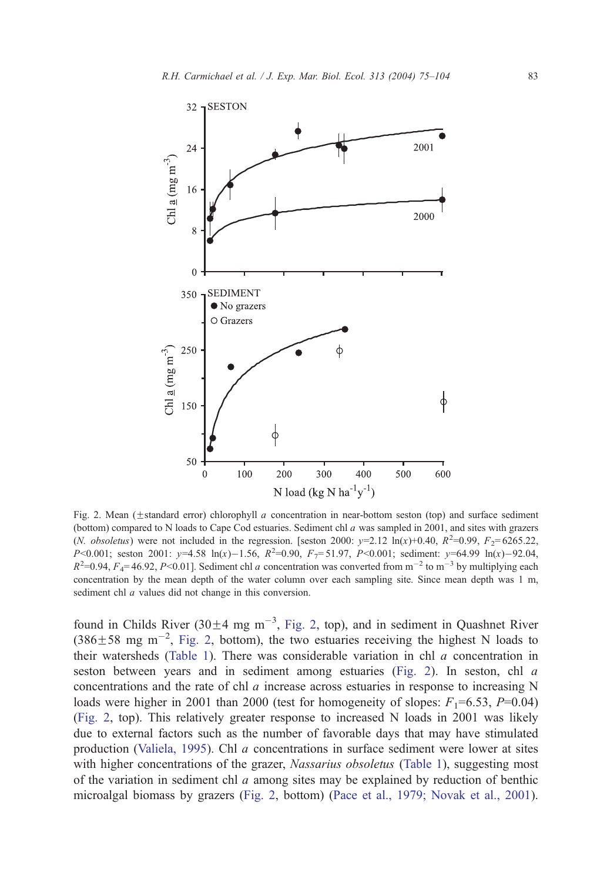<span id="page-8-0"></span>

Fig. 2. Mean ( $\pm$ standard error) chlorophyll a concentration in near-bottom seston (top) and surface sediment (bottom) compared to N loads to Cape Cod estuaries. Sediment chl a was sampled in 2001, and sites with grazers (*N. obsoletus*) were not included in the regression. [seston 2000:  $y=2.12 \ln(x)+0.40$ ,  $R^2=0.99$ ,  $F_2=6265.22$ ,  $P<0.001$ ; seston 2001: y=4.58 ln(x)-1.56,  $R^2=0.90$ ,  $F_7=51.97$ ,  $P<0.001$ ; sediment: y=64.99 ln(x)-92.04,  $R^2$ =0.94,  $F_4$ =46.92, P<0.01]. Sediment chl a concentration was converted from m<sup>-2</sup> to m<sup>-3</sup> by multiplying each concentration by the mean depth of the water column over each sampling site. Since mean depth was 1 m, sediment chl *a* values did not change in this conversion.

found in Childs River ( $30\pm4$  mg m<sup>-3</sup>, Fig. 2, top), and in sediment in Quashnet River  $(386\pm58 \text{ mg m}^{-2}, \text{Fig. 2, bottom})$ , the two estuaries receiving the highest N loads to their watersheds ([Table 1\)](#page-5-0). There was considerable variation in chl  $a$  concentration in seston between years and in sediment among estuaries (Fig. 2). In seston, chl a concentrations and the rate of chl  $\alpha$  increase across estuaries in response to increasing N loads were higher in 2001 than 2000 (test for homogeneity of slopes:  $F_1=6.53$ ,  $P=0.04$ ) (Fig. 2, top). This relatively greater response to increased N loads in 2001 was likely due to external factors such as the number of favorable days that may have stimulated production ([Valiela, 1995\)](#page-29-0). Chl a concentrations in surface sediment were lower at sites with higher concentrations of the grazer, *Nassarius obsoletus* ([Table 1\)](#page-5-0), suggesting most of the variation in sediment chl  $a$  among sites may be explained by reduction of benthic microalgal biomass by grazers (Fig. 2, bottom) ([Pace et al., 1979; Novak et al., 2001\)](#page-28-0).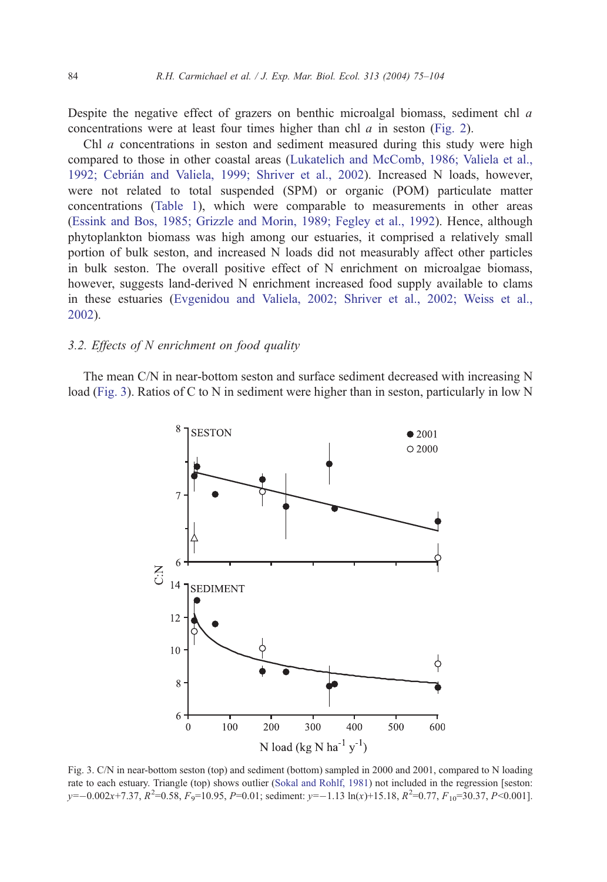<span id="page-9-0"></span>Despite the negative effect of grazers on benthic microalgal biomass, sediment chl  $\alpha$ concentrations were at least four times higher than chl  $a$  in seston ([Fig. 2\)](#page-8-0).

Chl a concentrations in seston and sediment measured during this study were high compared to those in other coastal areas ([Lukatelich and McComb, 1986; Valiela et al.,](#page-27-0) 1992; Cebrián and Valiela, 1999; Shriver et al., 2002). Increased N loads, however, were not related to total suspended (SPM) or organic (POM) particulate matter concentrations ([Table 1\)](#page-5-0), which were comparable to measurements in other areas ([Essink and Bos, 1985; Grizzle and Morin, 1989; Fegley et al., 1992\)](#page-25-0). Hence, although phytoplankton biomass was high among our estuaries, it comprised a relatively small portion of bulk seston, and increased N loads did not measurably affect other particles in bulk seston. The overall positive effect of N enrichment on microalgae biomass, however, suggests land-derived N enrichment increased food supply available to clams in these estuaries ([Evgenidou and Valiela, 2002; Shriver et al., 2002; Weiss et al.,](#page-25-0) 2002).

# 3.2. Effects of N enrichment on food quality

The mean C/N in near-bottom seston and surface sediment decreased with increasing N load (Fig. 3). Ratios of C to N in sediment were higher than in seston, particularly in low N



Fig. 3. C/N in near-bottom seston (top) and sediment (bottom) sampled in 2000 and 2001, compared to N loading rate to each estuary. Triangle (top) shows outlier ([Sokal and Rohlf, 1981\)](#page-29-0) not included in the regression [seston:  $y=-0.002x+7.37$ ,  $R^2=0.58$ ,  $F_9=10.95$ ,  $P=0.01$ ; sediment:  $y=-1.13 \ln(x)+15.18$ ,  $R^2=0.77$ ,  $F_{10}=30.37$ ,  $P<0.001$ ].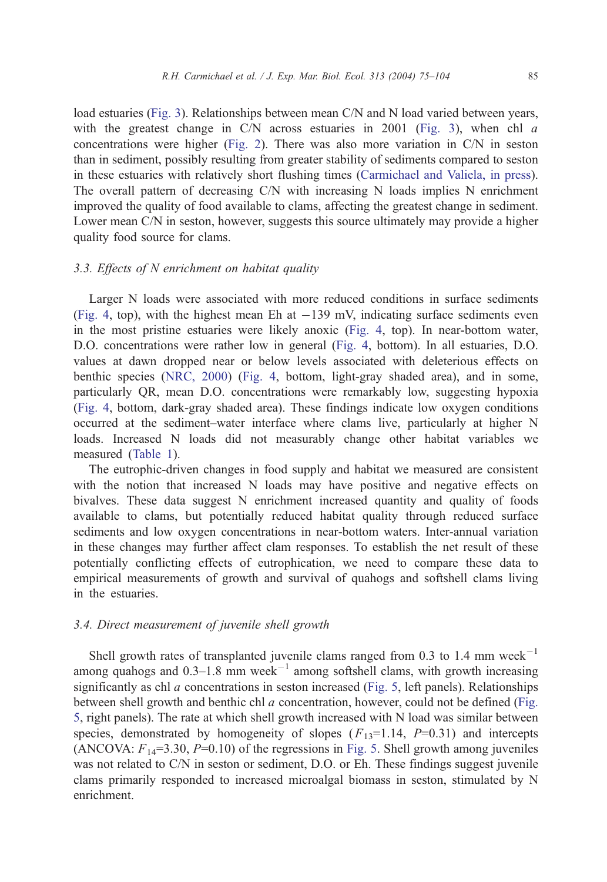load estuaries ([Fig. 3\)](#page-9-0). Relationships between mean C/N and N load varied between years, with the greatest change in C/N across estuaries in 2001 ([Fig. 3\)](#page-9-0), when chl  $a$ concentrations were higher ([Fig. 2\)](#page-8-0). There was also more variation in C/N in seston than in sediment, possibly resulting from greater stability of sediments compared to seston in these estuaries with relatively short flushing times ([Carmichael and Valiela, in press\)](#page-25-0). The overall pattern of decreasing C/N with increasing N loads implies N enrichment improved the quality of food available to clams, affecting the greatest change in sediment. Lower mean C/N in seston, however, suggests this source ultimately may provide a higher quality food source for clams.

# 3.3. Effects of N enrichment on habitat quality

Larger N loads were associated with more reduced conditions in surface sediments ([Fig. 4,](#page-11-0) top), with the highest mean Eh at  $-139$  mV, indicating surface sediments even in the most pristine estuaries were likely anoxic ([Fig. 4,](#page-11-0) top). In near-bottom water, D.O. concentrations were rather low in general ([Fig. 4,](#page-11-0) bottom). In all estuaries, D.O. values at dawn dropped near or below levels associated with deleterious effects on benthic species ([NRC, 2000\)](#page-28-0) ([Fig. 4,](#page-11-0) bottom, light-gray shaded area), and in some, particularly QR, mean D.O. concentrations were remarkably low, suggesting hypoxia ([Fig. 4,](#page-11-0) bottom, dark-gray shaded area). These findings indicate low oxygen conditions occurred at the sediment–water interface where clams live, particularly at higher N loads. Increased N loads did not measurably change other habitat variables we measured ([Table 1\)](#page-5-0).

The eutrophic-driven changes in food supply and habitat we measured are consistent with the notion that increased N loads may have positive and negative effects on bivalves. These data suggest N enrichment increased quantity and quality of foods available to clams, but potentially reduced habitat quality through reduced surface sediments and low oxygen concentrations in near-bottom waters. Inter-annual variation in these changes may further affect clam responses. To establish the net result of these potentially conflicting effects of eutrophication, we need to compare these data to empirical measurements of growth and survival of quahogs and softshell clams living in the estuaries.

## 3.4. Direct measurement of juvenile shell growth

Shell growth rates of transplanted juvenile clams ranged from 0.3 to 1.4 mm week<sup>-1</sup> among quahogs and  $0.3-1.8$  mm week<sup>-1</sup> among softshell clams, with growth increasing significantly as chl a concentrations in seston increased ([Fig. 5,](#page-12-0) left panels). Relationships between shell growth and benthic chl a concentration, however, could not be defined ([Fig.](#page-12-0) 5, right panels). The rate at which shell growth increased with N load was similar between species, demonstrated by homogeneity of slopes  $(F_{13}=1.14, P=0.31)$  and intercepts (ANCOVA:  $F_{14}$ =3.30, P=0.10) of the regressions in [Fig. 5.](#page-12-0) Shell growth among juveniles was not related to C/N in seston or sediment, D.O. or Eh. These findings suggest juvenile clams primarily responded to increased microalgal biomass in seston, stimulated by N enrichment.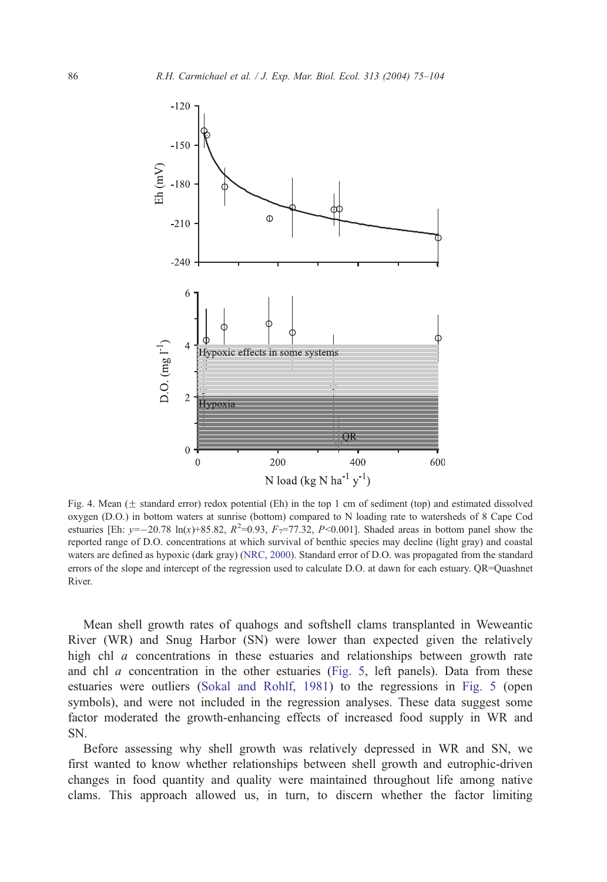<span id="page-11-0"></span>

Fig. 4. Mean  $(\pm$  standard error) redox potential (Eh) in the top 1 cm of sediment (top) and estimated dissolved oxygen (D.O.) in bottom waters at sunrise (bottom) compared to N loading rate to watersheds of 8 Cape Cod estuaries [Eh:  $y = -20.78 \ln(x) + 85.82$ ,  $R^2 = 0.93$ ,  $F_7 = 77.32$ ,  $P \le 0.001$ ]. Shaded areas in bottom panel show the reported range of D.O. concentrations at which survival of benthic species may decline (light gray) and coastal waters are defined as hypoxic (dark gray) ([NRC, 2000\)](#page-28-0). Standard error of D.O. was propagated from the standard errors of the slope and intercept of the regression used to calculate D.O. at dawn for each estuary. QR=Quashnet River.

Mean shell growth rates of quahogs and softshell clams transplanted in Weweantic River (WR) and Snug Harbor (SN) were lower than expected given the relatively high chl a concentrations in these estuaries and relationships between growth rate and chl  $\alpha$  concentration in the other estuaries ([Fig. 5,](#page-12-0) left panels). Data from these estuaries were outliers ([Sokal and Rohlf, 1981\)](#page-29-0) to the regressions in [Fig. 5](#page-12-0) (open symbols), and were not included in the regression analyses. These data suggest some factor moderated the growth-enhancing effects of increased food supply in WR and SN.

Before assessing why shell growth was relatively depressed in WR and SN, we first wanted to know whether relationships between shell growth and eutrophic-driven changes in food quantity and quality were maintained throughout life among native clams. This approach allowed us, in turn, to discern whether the factor limiting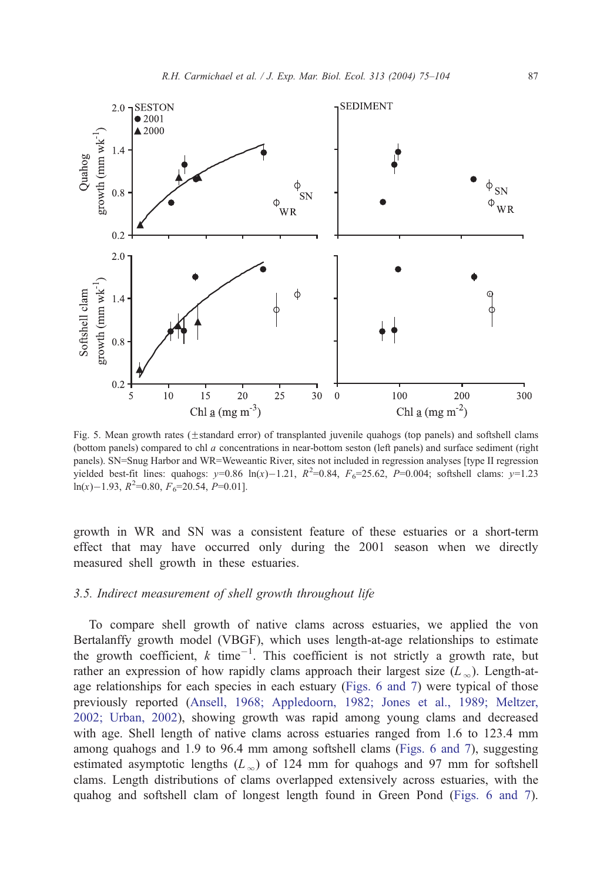<span id="page-12-0"></span>

Fig. 5. Mean growth rates ( $\pm$ standard error) of transplanted juvenile quahogs (top panels) and softshell clams (bottom panels) compared to chl a concentrations in near-bottom seston (left panels) and surface sediment (right panels). SN=Snug Harbor and WR=Weweantic River, sites not included in regression analyses [type II regression yielded best-fit lines: quahogs:  $y=0.86 \ln(x)-1.21$ ,  $R^2=0.84$ ,  $F_6=25.62$ ,  $P=0.004$ ; softshell clams:  $y=1.23$  $ln(x)$  – 1.93,  $R^2$ =0.80,  $F_6$ =20.54,  $P$ =0.01].

growth in WR and SN was a consistent feature of these estuaries or a short-term effect that may have occurred only during the 2001 season when we directly measured shell growth in these estuaries.

#### 3.5. Indirect measurement of shell growth throughout life

To compare shell growth of native clams across estuaries, we applied the von Bertalanffy growth model (VBGF), which uses length-at-age relationships to estimate the growth coefficient,  $k$  time<sup>-1</sup>. This coefficient is not strictly a growth rate, but rather an expression of how rapidly clams approach their largest size  $(L_{\infty})$ . Length-atage relationships for each species in each estuary ([Figs. 6 and 7\)](#page-13-0) were typical of those previously reported ([Ansell, 1968; Appledoorn, 1982; Jones et al., 1989; Meltzer,](#page-24-0) 2002; Urban, 2002), showing growth was rapid among young clams and decreased with age. Shell length of native clams across estuaries ranged from 1.6 to 123.4 mm among quahogs and 1.9 to 96.4 mm among softshell clams ([Figs. 6 and 7\)](#page-13-0), suggesting estimated asymptotic lengths  $(L_{\infty})$  of 124 mm for quahogs and 97 mm for softshell clams. Length distributions of clams overlapped extensively across estuaries, with the quahog and softshell clam of longest length found in Green Pond ([Figs. 6 and 7\)](#page-13-0).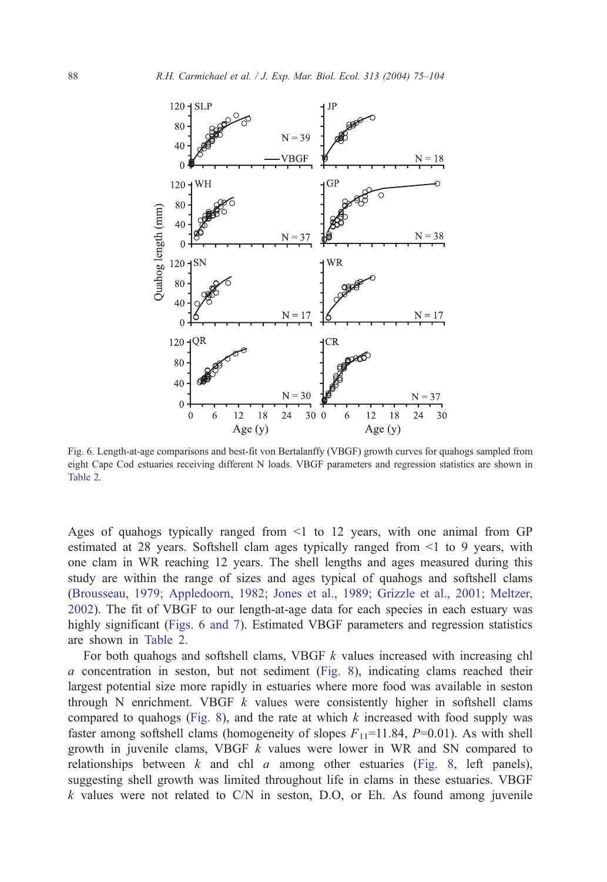<span id="page-13-0"></span>

Fig. 6. Length-at-age comparisons and best-fit von Bertalanffy (VBGF) growth curves for quahogs sampled from eight Cape Cod estuaries receiving different N loads. VBGF parameters and regression statistics are shown in [Table 2.](#page-15-0)

Ages of quahogs typically ranged from  $\leq 1$  to 12 years, with one animal from GP estimated at 28 years. Softshell clam ages typically ranged from  $\leq 1$  to 9 years, with one clam in WR reaching 12 years. The shell lengths and ages measured during this study are within the range of sizes and ages typical of quahogs and softshell clams ([Brousseau, 1979; Appledoorn, 1982; Jones et al., 1989; Grizzle et al., 2001; Meltzer,](#page-25-0) 2002). The fit of VBGF to our length-at-age data for each species in each estuary was highly significant (Figs. 6 and 7). Estimated VBGF parameters and regression statistics are shown in [Table 2.](#page-15-0)

For both quahogs and softshell clams, VBGF  $k$  values increased with increasing chl a concentration in seston, but not sediment ([Fig. 8\)](#page-16-0), indicating clams reached their largest potential size more rapidly in estuaries where more food was available in seston through N enrichment. VBGF  $k$  values were consistently higher in softshell clams compared to quahogs ([Fig. 8\)](#page-16-0), and the rate at which k increased with food supply was faster among softshell clams (homogeneity of slopes  $F_{11}=11.84$ ,  $P=0.01$ ). As with shell growth in juvenile clams, VBGF  $k$  values were lower in WR and SN compared to relationships between  $k$  and chl  $a$  among other estuaries ([Fig. 8,](#page-16-0) left panels), suggesting shell growth was limited throughout life in clams in these estuaries. VBGF  $k$  values were not related to C/N in seston, D.O, or Eh. As found among juvenile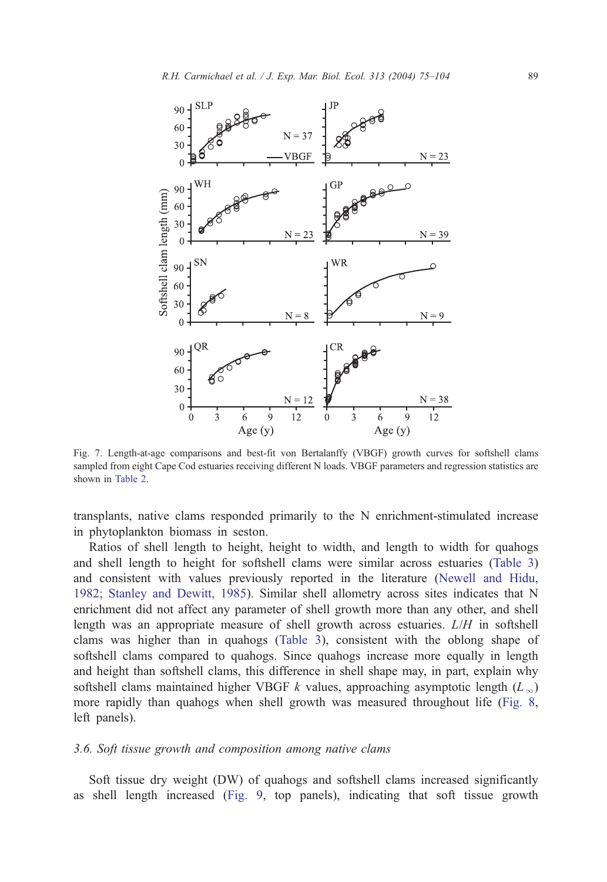

Fig. 7. Length-at-age comparisons and best-fit von Bertalanffy (VBGF) growth curves for softshell clams sampled from eight Cape Cod estuaries receiving different N loads. VBGF parameters and regression statistics are shown in [Table 2.](#page-15-0)

transplants, native clams responded primarily to the N enrichment-stimulated increase in phytoplankton biomass in seston.

Ratios of shell length to height, height to width, and length to width for quahogs and shell length to height for softshell clams were similar across estuaries ([Table 3\)](#page-17-0) and consistent with values previously reported in the literature ([Newell and Hidu,](#page-28-0) 1982; Stanley and Dewitt, 1985). Similar shell allometry across sites indicates that N enrichment did not affect any parameter of shell growth more than any other, and shell length was an appropriate measure of shell growth across estuaries.  $L/H$  in softshell clams was higher than in quahogs ([Table 3\)](#page-17-0), consistent with the oblong shape of softshell clams compared to quahogs. Since quahogs increase more equally in length and height than softshell clams, this difference in shell shape may, in part, explain why softshell clams maintained higher VBGF k values, approaching asymptotic length  $(L_{\infty})$ more rapidly than quahogs when shell growth was measured throughout life ([Fig. 8,](#page-16-0) left panels).

## 3.6. Soft tissue growth and composition among native clams

Soft tissue dry weight (DW) of quahogs and softshell clams increased significantly as shell length increased ([Fig. 9,](#page-18-0) top panels), indicating that soft tissue growth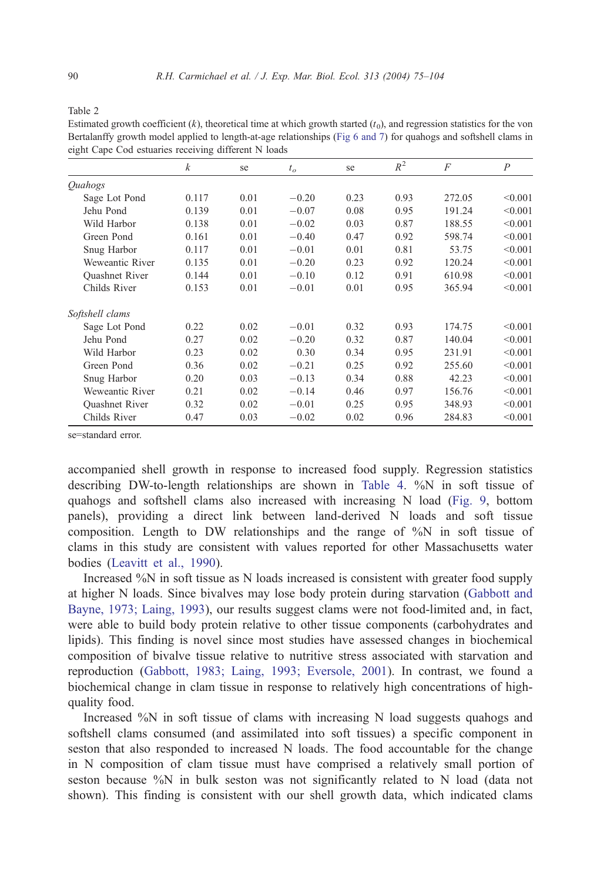<span id="page-15-0"></span>Table 2

Estimated growth coefficient  $(k)$ , theoretical time at which growth started  $(t_0)$ , and regression statistics for the von Bertalanffy growth model applied to length-at-age relationships ([Fig 6 and 7\)](#page-13-0) for quahogs and softshell clams in eight Cape Cod estuaries receiving different N loads

|                       | $\boldsymbol{k}$ | se   | $t_{o}$ | se   | $R^2$ | F      | $\overline{P}$ |
|-----------------------|------------------|------|---------|------|-------|--------|----------------|
| <i><b>Ouahogs</b></i> |                  |      |         |      |       |        |                |
| Sage Lot Pond         | 0.117            | 0.01 | $-0.20$ | 0.23 | 0.93  | 272.05 | < 0.001        |
| Jehu Pond             | 0.139            | 0.01 | $-0.07$ | 0.08 | 0.95  | 191.24 | < 0.001        |
| Wild Harbor           | 0.138            | 0.01 | $-0.02$ | 0.03 | 0.87  | 188.55 | < 0.001        |
| Green Pond            | 0.161            | 0.01 | $-0.40$ | 0.47 | 0.92  | 598.74 | < 0.001        |
| Snug Harbor           | 0.117            | 0.01 | $-0.01$ | 0.01 | 0.81  | 53.75  | < 0.001        |
| Weweantic River       | 0.135            | 0.01 | $-0.20$ | 0.23 | 0.92  | 120.24 | < 0.001        |
| <b>Ouashnet River</b> | 0.144            | 0.01 | $-0.10$ | 0.12 | 0.91  | 610.98 | < 0.001        |
| Childs River          | 0.153            | 0.01 | $-0.01$ | 0.01 | 0.95  | 365.94 | < 0.001        |
| Softshell clams       |                  |      |         |      |       |        |                |
| Sage Lot Pond         | 0.22             | 0.02 | $-0.01$ | 0.32 | 0.93  | 174.75 | < 0.001        |
| Jehu Pond             | 0.27             | 0.02 | $-0.20$ | 0.32 | 0.87  | 140.04 | < 0.001        |
| Wild Harbor           | 0.23             | 0.02 | 0.30    | 0.34 | 0.95  | 231.91 | < 0.001        |
| Green Pond            | 0.36             | 0.02 | $-0.21$ | 0.25 | 0.92  | 255.60 | < 0.001        |
| Snug Harbor           | 0.20             | 0.03 | $-0.13$ | 0.34 | 0.88  | 42.23  | < 0.001        |
| Weweantic River       | 0.21             | 0.02 | $-0.14$ | 0.46 | 0.97  | 156.76 | < 0.001        |
| <b>Ouashnet River</b> | 0.32             | 0.02 | $-0.01$ | 0.25 | 0.95  | 348.93 | < 0.001        |
| Childs River          | 0.47             | 0.03 | $-0.02$ | 0.02 | 0.96  | 284.83 | < 0.001        |

se=standard error.

accompanied shell growth in response to increased food supply. Regression statistics describing DW-to-length relationships are shown in [Table 4.](#page-19-0) %N in soft tissue of quahogs and softshell clams also increased with increasing  $N$  load ([Fig. 9,](#page-18-0) bottom panels), providing a direct link between land-derived N loads and soft tissue composition. Length to DW relationships and the range of %N in soft tissue of clams in this study are consistent with values reported for other Massachusetts water bodies ([Leavitt et al., 1990\)](#page-27-0).

Increased %N in soft tissue as N loads increased is consistent with greater food supply at higher N loads. Since bivalves may lose body protein during starvation ([Gabbott and](#page-26-0) Bayne, 1973; Laing, 1993), our results suggest clams were not food-limited and, in fact, were able to build body protein relative to other tissue components (carbohydrates and lipids). This finding is novel since most studies have assessed changes in biochemical composition of bivalve tissue relative to nutritive stress associated with starvation and reproduction ([Gabbott, 1983; Laing, 1993; Eversole, 2001\)](#page-26-0). In contrast, we found a biochemical change in clam tissue in response to relatively high concentrations of highquality food.

Increased %N in soft tissue of clams with increasing N load suggests quahogs and softshell clams consumed (and assimilated into soft tissues) a specific component in seston that also responded to increased N loads. The food accountable for the change in N composition of clam tissue must have comprised a relatively small portion of seston because %N in bulk seston was not significantly related to N load (data not shown). This finding is consistent with our shell growth data, which indicated clams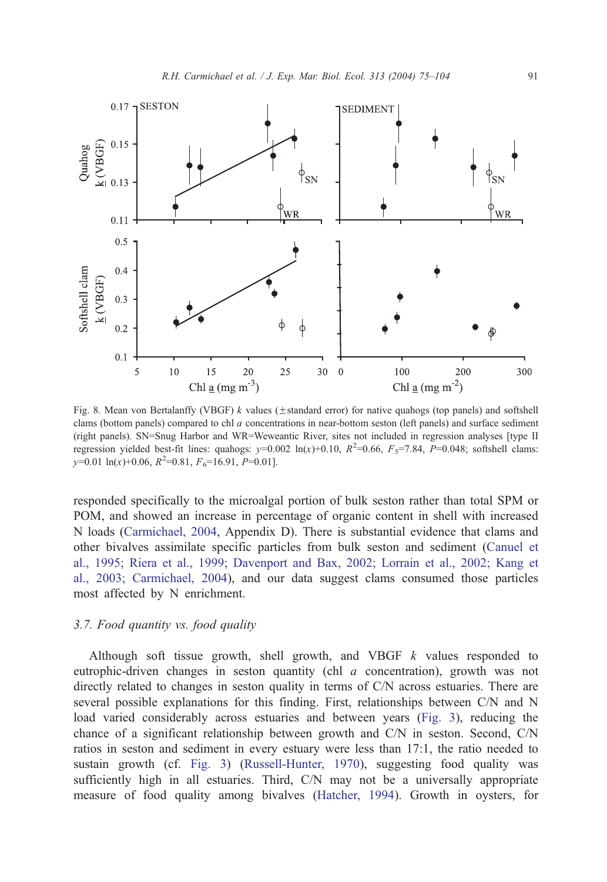<span id="page-16-0"></span>

Fig. 8. Mean von Bertalanffy (VBGF)  $k$  values ( $\pm$ standard error) for native quahogs (top panels) and softshell clams (bottom panels) compared to chl a concentrations in near-bottom seston (left panels) and surface sediment (right panels). SN=Snug Harbor and WR=Weweantic River, sites not included in regression analyses [type II regression yielded best-fit lines: quahogs:  $y=0.002 \ln(x)+0.10$ ,  $R^2=0.66$ ,  $F_5=7.84$ ,  $P=0.048$ ; softshell clams:  $y=0.01 \ln(x)+0.06$ ,  $R^2=0.81$ ,  $F_6=16.91$ ,  $P=0.01$ .

responded specifically to the microalgal portion of bulk seston rather than total SPM or POM, and showed an increase in percentage of organic content in shell with increased N loads ([Carmichael, 2004,](#page-25-0) Appendix D). There is substantial evidence that clams and other bivalves assimilate specific particles from bulk seston and sediment ([Canuel et](#page-25-0) al., 1995; Riera et al., 1999; Davenport and Bax, 2002; Lorrain et al., 2002; Kang et al., 2003; Carmichael, 2004), and our data suggest clams consumed those particles most affected by N enrichment.

# 3.7. Food quantity vs. food quality

Although soft tissue growth, shell growth, and VBGF  $k$  values responded to eutrophic-driven changes in seston quantity (chl a concentration), growth was not directly related to changes in seston quality in terms of C/N across estuaries. There are several possible explanations for this finding. First, relationships between C/N and N load varied considerably across estuaries and between years ([Fig. 3\)](#page-9-0), reducing the chance of a significant relationship between growth and C/N in seston. Second, C/N ratios in seston and sediment in every estuary were less than 17:1, the ratio needed to sustain growth (cf. [Fig. 3\)](#page-9-0) ([Russell-Hunter, 1970\)](#page-28-0), suggesting food quality was sufficiently high in all estuaries. Third, C/N may not be a universally appropriate measure of food quality among bivalves ([Hatcher, 1994\)](#page-26-0). Growth in oysters, for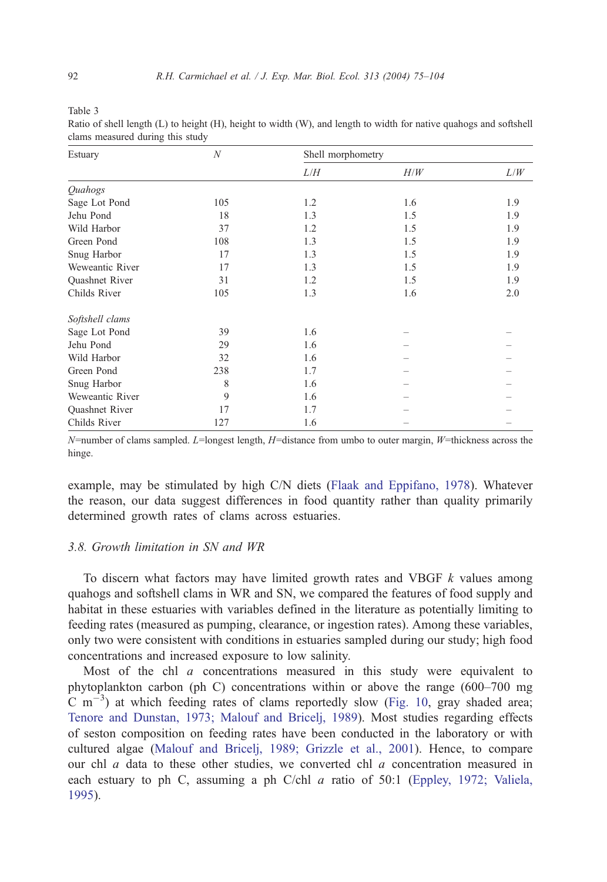<span id="page-17-0"></span>Table 3

| Estuary               | N   | Shell morphometry |     |     |  |  |
|-----------------------|-----|-------------------|-----|-----|--|--|
|                       |     | L/H               | H/W | L/W |  |  |
| <i><b>Quahogs</b></i> |     |                   |     |     |  |  |
| Sage Lot Pond         | 105 | 1.2               | 1.6 | 1.9 |  |  |
| Jehu Pond             | 18  | 1.3               | 1.5 | 1.9 |  |  |
| Wild Harbor           | 37  | 1.2               | 1.5 | 1.9 |  |  |
| Green Pond            | 108 | 1.3               | 1.5 | 1.9 |  |  |
| Snug Harbor           | 17  | 1.3               | 1.5 | 1.9 |  |  |
| Weweantic River       | 17  | 1.3               | 1.5 | 1.9 |  |  |
| <b>Ouashnet River</b> | 31  | 1.2               | 1.5 | 1.9 |  |  |
| Childs River          | 105 | 1.3               | 1.6 | 2.0 |  |  |
| Softshell clams       |     |                   |     |     |  |  |
| Sage Lot Pond         | 39  | 1.6               |     |     |  |  |
| Jehu Pond             | 29  | 1.6               |     |     |  |  |
| Wild Harbor           | 32  | 1.6               |     |     |  |  |
| Green Pond            | 238 | 1.7               |     |     |  |  |
| Snug Harbor           | 8   | 1.6               |     |     |  |  |
| Weweantic River       | 9   | 1.6               |     |     |  |  |
| Quashnet River        | 17  | 1.7               |     |     |  |  |
| Childs River          | 127 | 1.6               |     |     |  |  |

Ratio of shell length (L) to height (H), height to width (W), and length to width for native quahogs and softshell clams measured during this study

N=number of clams sampled. L=longest length, H=distance from umbo to outer margin, W=thickness across the hinge.

example, may be stimulated by high C/N diets ([Flaak and Eppifano, 1978\)](#page-26-0). Whatever the reason, our data suggest differences in food quantity rather than quality primarily determined growth rates of clams across estuaries.

### 3.8. Growth limitation in SN and WR

To discern what factors may have limited growth rates and VBGF  $k$  values among quahogs and softshell clams in WR and SN, we compared the features of food supply and habitat in these estuaries with variables defined in the literature as potentially limiting to feeding rates (measured as pumping, clearance, or ingestion rates). Among these variables, only two were consistent with conditions in estuaries sampled during our study; high food concentrations and increased exposure to low salinity.

Most of the chl a concentrations measured in this study were equivalent to phytoplankton carbon (ph C) concentrations within or above the range (600–700 mg  $\rm C~m^{-3}$ ) at which feeding rates of clams reportedly slow ([Fig. 10,](#page-19-0) gray shaded area; [Tenore and Dunstan, 1973; Malouf and Bricelj, 1989\)](#page-29-0). Most studies regarding effects of seston composition on feeding rates have been conducted in the laboratory or with cultured algae ([Malouf and Bricelj, 1989; Grizzle et al., 2001\)](#page-27-0). Hence, to compare our chl  $a$  data to these other studies, we converted chl  $a$  concentration measured in each estuary to ph C, assuming a ph C/chl *a* ratio of 50:1 ([Eppley, 1972; Valiela,](#page-25-0) 1995).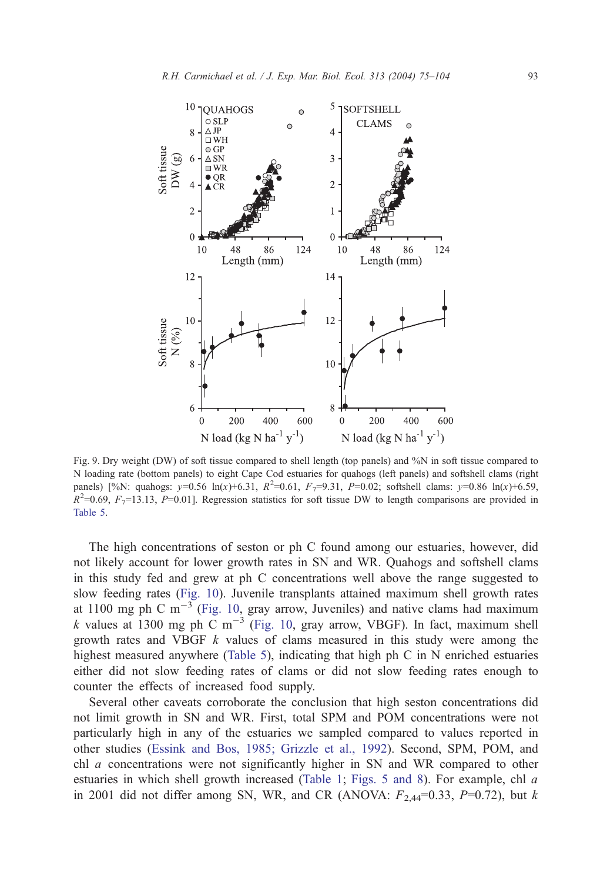<span id="page-18-0"></span>

Fig. 9. Dry weight (DW) of soft tissue compared to shell length (top panels) and %N in soft tissue compared to N loading rate (bottom panels) to eight Cape Cod estuaries for quahogs (left panels) and softshell clams (right panels) [%N: quahogs:  $y=0.56 \ln(x)+6.31$ ,  $R^2=0.61$ ,  $F_7=9.31$ ,  $P=0.02$ ; softshell clams:  $y=0.86 \ln(x)+6.59$ ,  $R^2$ =0.69,  $F_7$ =13.13, P=0.01]. Regression statistics for soft tissue DW to length comparisons are provided in [Table 5.](#page-20-0)

The high concentrations of seston or ph C found among our estuaries, however, did not likely account for lower growth rates in SN and WR. Quahogs and softshell clams in this study fed and grew at ph C concentrations well above the range suggested to slow feeding rates ([Fig. 10\)](#page-19-0). Juvenile transplants attained maximum shell growth rates at 1100 mg ph C m<sup>-3</sup> ([Fig. 10,](#page-19-0) gray arrow, Juveniles) and native clams had maximum k values at 1300 mg ph C m<sup>-3</sup> ([Fig. 10,](#page-19-0) gray arrow, VBGF). In fact, maximum shell growth rates and VBGF  $k$  values of clams measured in this study were among the highest measured anywhere ([Table 5\)](#page-20-0), indicating that high ph C in N enriched estuaries either did not slow feeding rates of clams or did not slow feeding rates enough to counter the effects of increased food supply.

Several other caveats corroborate the conclusion that high seston concentrations did not limit growth in SN and WR. First, total SPM and POM concentrations were not particularly high in any of the estuaries we sampled compared to values reported in other studies ([Essink and Bos, 1985; Grizzle et al., 1992\)](#page-25-0). Second, SPM, POM, and chl a concentrations were not significantly higher in SN and WR compared to other estuaries in which shell growth increased ([Table 1;](#page-5-0) [Figs. 5 and 8\)](#page-12-0). For example, chl a in 2001 did not differ among SN, WR, and CR (ANOVA:  $F_{2,44}$ =0.33, P=0.72), but k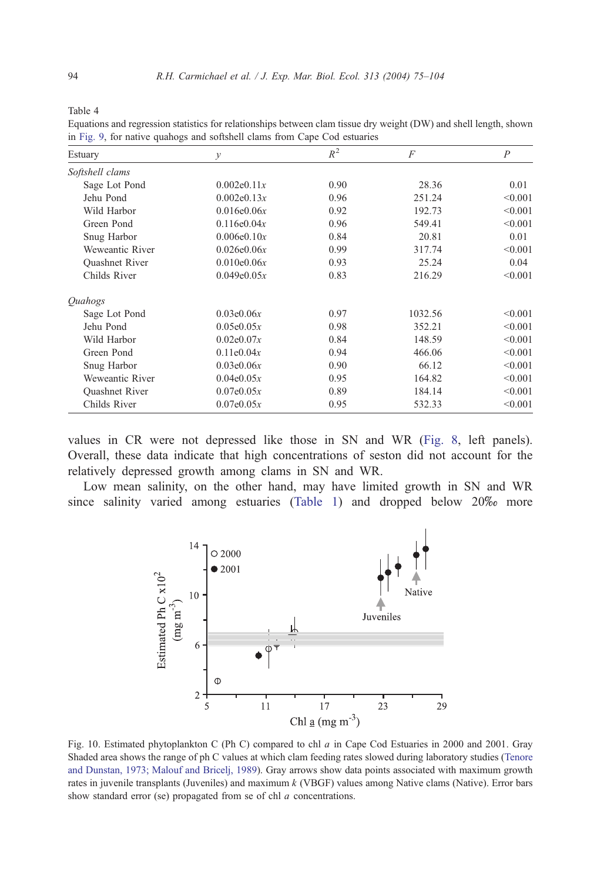<span id="page-19-0"></span>Table 4

Equations and regression statistics for relationships between clam tissue dry weight (DW) and shell length, shown in [Fig. 9,](#page-18-0) for native quahogs and softshell clams from Cape Cod estuaries

| ັ<br>Estuary          | $\mathcal{Y}$   | $R^2$ | F       | $\boldsymbol{P}$ |
|-----------------------|-----------------|-------|---------|------------------|
| Softshell clams       |                 |       |         |                  |
| Sage Lot Pond         | 0.002e0.11x     | 0.90  | 28.36   | 0.01             |
| Jehu Pond             | 0.002e0.13x     | 0.96  | 251.24  | < 0.001          |
| Wild Harbor           | 0.016e0.06x     | 0.92  | 192.73  | < 0.001          |
| Green Pond            | 0.116e0.04x     | 0.96  | 549.41  | < 0.001          |
| Snug Harbor           | 0.006e0.10x     | 0.84  | 20.81   | 0.01             |
| Weweantic River       | 0.026e0.06x     | 0.99  | 317.74  | < 0.001          |
| Quashnet River        | 0.010e0.06x     | 0.93  | 25.24   | 0.04             |
| Childs River          | 0.049e0.05x     | 0.83  | 216.29  | < 0.001          |
| <i><b>Ouahogs</b></i> |                 |       |         |                  |
| Sage Lot Pond         | 0.03e0.06x      | 0.97  | 1032.56 | < 0.001          |
| Jehu Pond             | 0.05e0.05x      | 0.98  | 352.21  | < 0.001          |
| Wild Harbor           | 0.02e0.07x      | 0.84  | 148.59  | < 0.001          |
| Green Pond            | $0.11e^{0.04x}$ | 0.94  | 466.06  | < 0.001          |
| Snug Harbor           | 0.03e0.06x      | 0.90  | 66.12   | < 0.001          |
| Weweantic River       | 0.04e0.05x      | 0.95  | 164.82  | < 0.001          |
| Quashnet River        | 0.07e0.05x      | 0.89  | 184.14  | < 0.001          |
| Childs River          | 0.07e0.05x      | 0.95  | 532.33  | < 0.001          |

values in CR were not depressed like those in SN and WR ([Fig. 8,](#page-16-0) left panels). Overall, these data indicate that high concentrations of seston did not account for the relatively depressed growth among clams in SN and WR.

Low mean salinity, on the other hand, may have limited growth in SN and WR since salinity varied among estuaries ([Table 1\)](#page-5-0) and dropped below  $20\%$  more



Fig. 10. Estimated phytoplankton C (Ph C) compared to chl a in Cape Cod Estuaries in 2000 and 2001. Gray Shaded area shows the range of ph C values at which clam feeding rates slowed during laboratory studies ([Tenore](#page-29-0) and Dunstan, 1973; Malouf and Bricelj, 1989). Gray arrows show data points associated with maximum growth rates in juvenile transplants (Juveniles) and maximum k (VBGF) values among Native clams (Native). Error bars show standard error (se) propagated from se of chl a concentrations.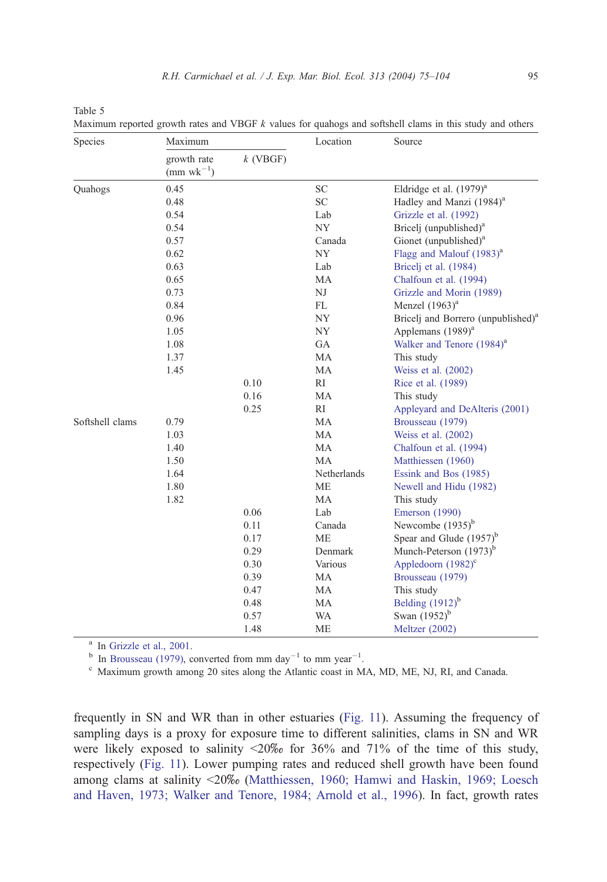<span id="page-20-0"></span>Table 5

Species Maximum Location Source growth rate  $\text{(mm) wk}^{-1}$ k (VBGF) Quahogs 0.45 SC Eldridge et al. (1979)<sup>a</sup> 0.48 SC Hadley and Manzi (1984)<sup>a</sup> 0.54 Lab Grizzle et al. (1992) 0.54 NY Bricel (unpublished)<sup>a</sup> 0.57 Canada Gionet (unpublished)<sup>a</sup> [0.62](#page-26-0) NY Flagg and Malouf (1983)<sup>a</sup> 0.63 Lab Bricelj et al. (1984) [0](#page-25-0).65 MA Chalfoun et al. (1994) [0.73](#page-26-0) NJ Grizzle and Morin (1989) 0.84 **FL** Menzel (1963)<sup>a</sup> 0.96 NY Bricel and Borrero (unpublished)<sup>a</sup> 1.05 NY Applemans (1989)<sup>a</sup> [1.08](#page-29-0) GA Walker and Tenore (1984)<sup>a</sup> 1.37 MA This study 1.45 MA Weiss et al. (2002) 0.10 RI Rice et al. (1989) 0.16 MA This study 0.25 RI Appleyard and DeAlteris (2001) [Softshell](#page-25-0)[clams](#page-25-0)  $0.79$  MA Brousseau (1979) 1.03 MA Weiss et al. (2002) [1](#page-25-0).40 MA Chalfoun et al. (1994) 1.50 MA Matthiessen (1960) [1](#page-25-0).64 Netherlands Essink and Bos (1985) [1.8](#page-28-0)0 ME Newell and Hidu (1982) 1.82 MA This study 0.06 Lab Emerson (1990) 0.11 Canada Newcombe  $(1935)^b$ 0.17 ME Spear and Glude  $(1957)^b$ 0.29 Denmark Munch-Peterson (1973)<sup>b</sup> 0.30 Various Appledoorn (1982)<sup>c</sup> 0.39 MA Brousseau (1979) 0.47 MA This study  $0.48$  MA Belding  $(1912)^{b}$ 

| Maximum reported growth rates and VBGF $k$ values for quahogs and softshell clams in this study and others |  |  |  |  |  |
|------------------------------------------------------------------------------------------------------------|--|--|--|--|--|
|------------------------------------------------------------------------------------------------------------|--|--|--|--|--|

<sup>a</sup> In [Grizzle et al., 2001.](#page-26-0)<br><sup>b</sup> In [Brousseau \(1979\),](#page-25-0) converted from mm day<sup>-1</sup> to mm year<sup>-1</sup>.

. <sup>c</sup> Maximum growth among 20 sites along the Atlantic coast in MA, MD, ME, NJ, RI, and Canada.

0.57 WA Swan  $(1952)^{b}$ 1.48 ME Meltzer (2002)

frequently in SN and WR than in other estuaries ([Fig. 11\)](#page-21-0). Assuming the frequency of sampling days is a proxy for exposure time to different salinities, clams in SN and WR were likely exposed to salinity  $\langle 20\% \rangle$  for 36% and 71% of the time of this study, respectively ([Fig. 11\)](#page-21-0). Lower pumping rates and reduced shell growth have been found among clams at salinity  $\leq 20\%$  ([Matthiessen, 1960; Hamwi and Haskin, 1969; Loesch](#page-27-0) and Haven, 1973; Walker and Tenore, 1984; Arnold et al., 1996). In fact, growth rates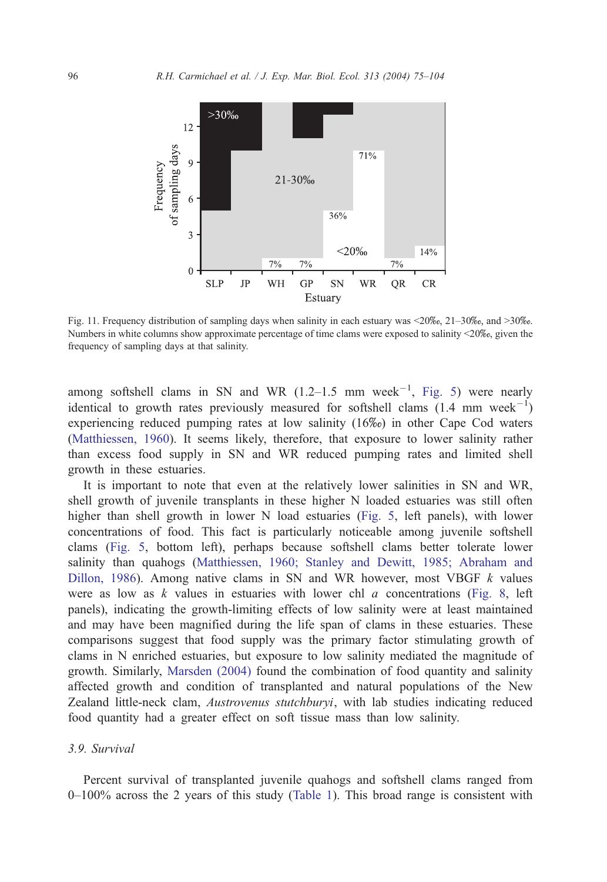<span id="page-21-0"></span>

Fig. 11. Frequency distribution of sampling days when salinity in each estuary was  $\leq 20\%$ , 21–30\%, and  $>30\%$ . Numbers in white columns show approximate percentage of time clams were exposed to salinity <20%, given the frequency of sampling days at that salinity.

among softshell clams in SN and WR  $(1.2-1.5 \text{ mm week}^{-1}, \text{ Fig. 5})$  were nearly identical to growth rates previously measured for softshell clams  $(1.4 \text{ mm week}^{-1})$ experiencing reduced pumping rates at low salinity (16%o) in other Cape Cod waters ([Matthiessen, 1960\)](#page-27-0). It seems likely, therefore, that exposure to lower salinity rather than excess food supply in SN and WR reduced pumping rates and limited shell growth in these estuaries.

It is important to note that even at the relatively lower salinities in SN and WR, shell growth of juvenile transplants in these higher N loaded estuaries was still often higher than shell growth in lower N load estuaries ([Fig. 5,](#page-12-0) left panels), with lower concentrations of food. This fact is particularly noticeable among juvenile softshell clams ([Fig. 5,](#page-12-0) bottom left), perhaps because softshell clams better tolerate lower salinity than quahogs ([Matthiessen, 1960; Stanley and Dewitt, 1985; Abraham and](#page-27-0) Dillon, 1986). Among native clams in SN and WR however, most VBGF  $k$  values were as low as k values in estuaries with lower chl  $a$  concentrations ([Fig. 8,](#page-16-0) left panels), indicating the growth-limiting effects of low salinity were at least maintained and may have been magnified during the life span of clams in these estuaries. These comparisons suggest that food supply was the primary factor stimulating growth of clams in N enriched estuaries, but exposure to low salinity mediated the magnitude of growth. Similarly, [Marsden \(2004\)](#page-27-0) found the combination of food quantity and salinity affected growth and condition of transplanted and natural populations of the New Zealand little-neck clam, Austrovenus stutchburyi, with lab studies indicating reduced food quantity had a greater effect on soft tissue mass than low salinity.

## 3.9. Survival

Percent survival of transplanted juvenile quahogs and softshell clams ranged from 0–100% across the 2 years of this study ([Table 1\)](#page-5-0). This broad range is consistent with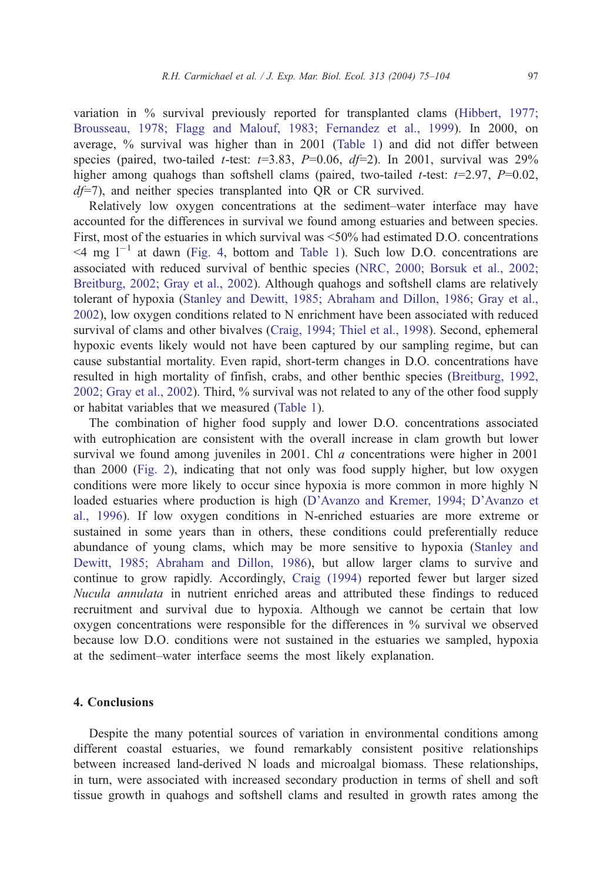variation in % survival previously reported for transplanted clams ([Hibbert, 1977;](#page-26-0) Brousseau, 1978; Flagg and Malouf, 1983; Fernandez et al., 1999). In 2000, on average, % survival was higher than in 2001 ([Table 1\)](#page-5-0) and did not differ between species (paired, two-tailed *t*-test:  $t=3.83$ ,  $P=0.06$ ,  $df=2$ ). In 2001, survival was 29% higher among quahogs than softshell clams (paired, two-tailed t-test:  $t=2.97$ ,  $P=0.02$ ,  $d\neq$ 7), and neither species transplanted into OR or CR survived.

Relatively low oxygen concentrations at the sediment–water interface may have accounted for the differences in survival we found among estuaries and between species. First, most of the estuaries in which survival was  $\leq 50\%$  had estimated D.O. concentrations  $4$  mg l<sup>-1</sup> at dawn ([Fig. 4,](#page-11-0) bottom and [Table 1\)](#page-5-0). Such low D.O. concentrations are associated with reduced survival of benthic species ([NRC, 2000; Borsuk et al., 2002;](#page-28-0) Breitburg, 2002; Gray et al., 2002). Although quahogs and softshell clams are relatively tolerant of hypoxia ([Stanley and Dewitt, 1985; Abraham and Dillon, 1986; Gray et al.,](#page-29-0) 2002), low oxygen conditions related to N enrichment have been associated with reduced survival of clams and other bivalves ([Craig, 1994; Thiel et al., 1998\)](#page-25-0). Second, ephemeral hypoxic events likely would not have been captured by our sampling regime, but can cause substantial mortality. Even rapid, short-term changes in D.O. concentrations have resulted in high mortality of finfish, crabs, and other benthic species ([Breitburg, 1992,](#page-24-0) 2002; Gray et al., 2002). Third, % survival was not related to any of the other food supply or habitat variables that we measured ([Table 1\)](#page-5-0).

The combination of higher food supply and lower D.O. concentrations associated with eutrophication are consistent with the overall increase in clam growth but lower survival we found among juveniles in 2001. Chl  $a$  concentrations were higher in 2001 than 2000 ([Fig. 2\)](#page-8-0), indicating that not only was food supply higher, but low oxygen conditions were more likely to occur since hypoxia is more common in more highly N loaded estuaries where production is high ([D'Avanzo and Kremer, 1994; D'Avanzo et](#page-25-0) al., 1996). If low oxygen conditions in N-enriched estuaries are more extreme or sustained in some years than in others, these conditions could preferentially reduce abundance of young clams, which may be more sensitive to hypoxia ([Stanley and](#page-29-0) Dewitt, 1985; Abraham and Dillon, 1986), but allow larger clams to survive and continue to grow rapidly. Accordingly, [Craig \(1994\)](#page-25-0) reported fewer but larger sized Nucula annulata in nutrient enriched areas and attributed these findings to reduced recruitment and survival due to hypoxia. Although we cannot be certain that low oxygen concentrations were responsible for the differences in % survival we observed because low D.O. conditions were not sustained in the estuaries we sampled, hypoxia at the sediment–water interface seems the most likely explanation.

#### 4. Conclusions

Despite the many potential sources of variation in environmental conditions among different coastal estuaries, we found remarkably consistent positive relationships between increased land-derived N loads and microalgal biomass. These relationships, in turn, were associated with increased secondary production in terms of shell and soft tissue growth in quahogs and softshell clams and resulted in growth rates among the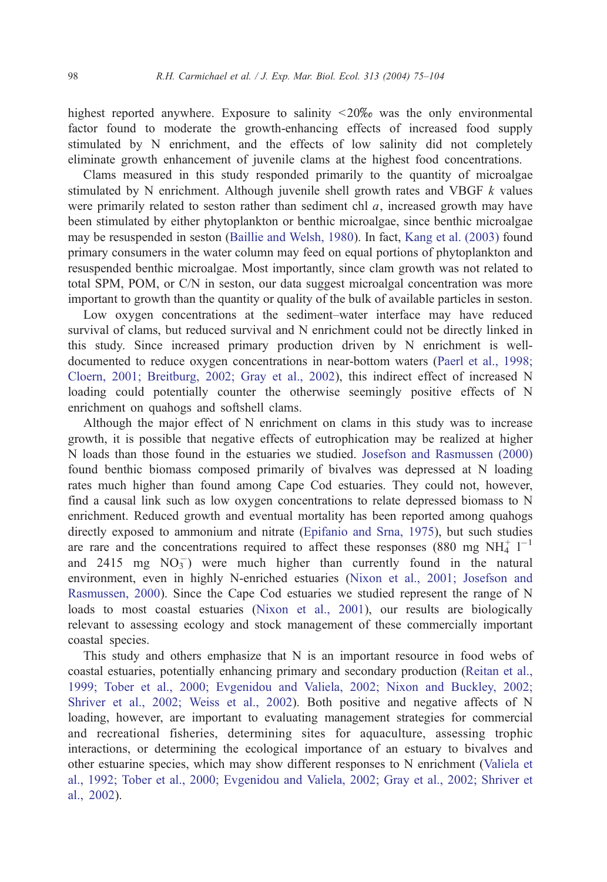highest reported anywhere. Exposure to salinity  $\langle 20\%$  was the only environmental factor found to moderate the growth-enhancing effects of increased food supply stimulated by N enrichment, and the effects of low salinity did not completely eliminate growth enhancement of juvenile clams at the highest food concentrations.

Clams measured in this study responded primarily to the quantity of microalgae stimulated by N enrichment. Although juvenile shell growth rates and VBGF  $k$  values were primarily related to seston rather than sediment chl  $a$ , increased growth may have been stimulated by either phytoplankton or benthic microalgae, since benthic microalgae may be resuspended in seston ([Baillie and Welsh, 1980\)](#page-24-0). In fact, [Kang et al. \(2003\)](#page-27-0) found primary consumers in the water column may feed on equal portions of phytoplankton and resuspended benthic microalgae. Most importantly, since clam growth was not related to total SPM, POM, or C/N in seston, our data suggest microalgal concentration was more important to growth than the quantity or quality of the bulk of available particles in seston.

Low oxygen concentrations at the sediment–water interface may have reduced survival of clams, but reduced survival and N enrichment could not be directly linked in this study. Since increased primary production driven by N enrichment is welldocumented to reduce oxygen concentrations in near-bottom waters ([Paerl et al., 1998;](#page-28-0) Cloern, 2001; Breitburg, 2002; Gray et al., 2002), this indirect effect of increased N loading could potentially counter the otherwise seemingly positive effects of N enrichment on quahogs and softshell clams.

Although the major effect of N enrichment on clams in this study was to increase growth, it is possible that negative effects of eutrophication may be realized at higher N loads than those found in the estuaries we studied. [Josefson and Rasmussen \(2000\)](#page-27-0) found benthic biomass composed primarily of bivalves was depressed at N loading rates much higher than found among Cape Cod estuaries. They could not, however, find a causal link such as low oxygen concentrations to relate depressed biomass to N enrichment. Reduced growth and eventual mortality has been reported among quahogs directly exposed to ammonium and nitrate ([Epifanio and Srna, 1975\)](#page-25-0), but such studies are rare and the concentrations required to affect these responses (880 mg NH $_4^+$  1<sup>-1</sup> and 2415 mg  $NO_3^-$ ) were much higher than currently found in the natural environment, even in highly N-enriched estuaries ([Nixon et al., 2001; Josefson and](#page-28-0) Rasmussen, 2000). Since the Cape Cod estuaries we studied represent the range of N loads to most coastal estuaries ([Nixon et al., 2001\)](#page-28-0), our results are biologically relevant to assessing ecology and stock management of these commercially important coastal species.

This study and others emphasize that N is an important resource in food webs of coastal estuaries, potentially enhancing primary and secondary production ([Reitan et al.,](#page-28-0) 1999; Tober et al., 2000; Evgenidou and Valiela, 2002; Nixon and Buckley, 2002; Shriver et al., 2002; Weiss et al., 2002). Both positive and negative affects of N loading, however, are important to evaluating management strategies for commercial and recreational fisheries, determining sites for aquaculture, assessing trophic interactions, or determining the ecological importance of an estuary to bivalves and other estuarine species, which may show different responses to N enrichment ([Valiela et](#page-29-0) al., 1992; Tober et al., 2000; Evgenidou and Valiela, 2002; Gray et al., 2002; Shriver et al., 2002).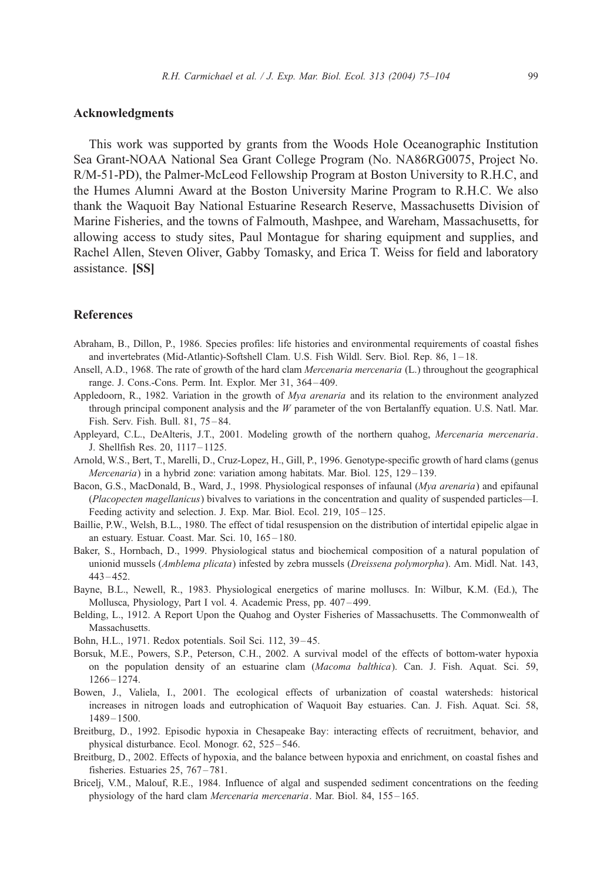#### <span id="page-24-0"></span>Acknowledgments

This work was supported by grants from the Woods Hole Oceanographic Institution Sea Grant-NOAA National Sea Grant College Program (No. NA86RG0075, Project No. R/M-51-PD), the Palmer-McLeod Fellowship Program at Boston University to R.H.C, and the Humes Alumni Award at the Boston University Marine Program to R.H.C. We also thank the Waquoit Bay National Estuarine Research Reserve, Massachusetts Division of Marine Fisheries, and the towns of Falmouth, Mashpee, and Wareham, Massachusetts, for allowing access to study sites, Paul Montague for sharing equipment and supplies, and Rachel Allen, Steven Oliver, Gabby Tomasky, and Erica T. Weiss for field and laboratory assistance. [SS]

# References

- Abraham, B., Dillon, P., 1986. Species profiles: life histories and environmental requirements of coastal fishes and invertebrates (Mid-Atlantic)-Softshell Clam. U.S. Fish Wildl. Serv. Biol. Rep. 86, 1 – 18.
- Ansell, A.D., 1968. The rate of growth of the hard clam Mercenaria mercenaria (L.) throughout the geographical range. J. Cons.-Cons. Perm. Int. Explor. Mer 31, 364 – 409.
- Appledoorn, R., 1982. Variation in the growth of *Mya arenaria* and its relation to the environment analyzed through principal component analysis and the  $W$  parameter of the von Bertalanffy equation. U.S. Natl. Mar. Fish. Serv. Fish. Bull. 81, 75 – 84.
- Appleyard, C.L., DeAlteris, J.T., 2001. Modeling growth of the northern quahog, Mercenaria mercenaria. J. Shellfish Res. 20, 1117 – 1125.
- Arnold, W.S., Bert, T., Marelli, D., Cruz-Lopez, H., Gill, P., 1996. Genotype-specific growth of hard clams (genus *Mercenaria*) in a hybrid zone: variation among habitats. Mar. Biol. 125, 129–139.
- Bacon, G.S., MacDonald, B., Ward, J., 1998. Physiological responses of infaunal (Mya arenaria) and epifaunal (Placopecten magellanicus) bivalves to variations in the concentration and quality of suspended particles—I. Feeding activity and selection. J. Exp. Mar. Biol. Ecol. 219, 105-125.
- Baillie, P.W., Welsh, B.L., 1980. The effect of tidal resuspension on the distribution of intertidal epipelic algae in an estuary. Estuar. Coast. Mar. Sci. 10, 165 – 180.
- Baker, S., Hornbach, D., 1999. Physiological status and biochemical composition of a natural population of unionid mussels (Amblema plicata) infested by zebra mussels (Dreissena polymorpha). Am. Midl. Nat. 143,  $443 - 452$ .
- Bayne, B.L., Newell, R., 1983. Physiological energetics of marine molluscs. In: Wilbur, K.M. (Ed.), The Mollusca, Physiology, Part I vol. 4. Academic Press, pp. 407 – 499.
- Belding, L., 1912. A Report Upon the Quahog and Oyster Fisheries of Massachusetts. The Commonwealth of Massachusetts.
- Bohn, H.L., 1971. Redox potentials. Soil Sci. 112, 39 45.
- Borsuk, M.E., Powers, S.P., Peterson, C.H., 2002. A survival model of the effects of bottom-water hypoxia on the population density of an estuarine clam (Macoma balthica). Can. J. Fish. Aquat. Sci. 59, 1266 – 1274.
- Bowen, J., Valiela, I., 2001. The ecological effects of urbanization of coastal watersheds: historical increases in nitrogen loads and eutrophication of Waquoit Bay estuaries. Can. J. Fish. Aquat. Sci. 58, 1489 – 1500.
- Breitburg, D., 1992. Episodic hypoxia in Chesapeake Bay: interacting effects of recruitment, behavior, and physical disturbance. Ecol. Monogr. 62, 525 – 546.
- Breitburg, D., 2002. Effects of hypoxia, and the balance between hypoxia and enrichment, on coastal fishes and fisheries. Estuaries 25, 767 – 781.
- Bricelj, V.M., Malouf, R.E., 1984. Influence of algal and suspended sediment concentrations on the feeding physiology of the hard clam Mercenaria mercenaria. Mar. Biol. 84, 155 – 165.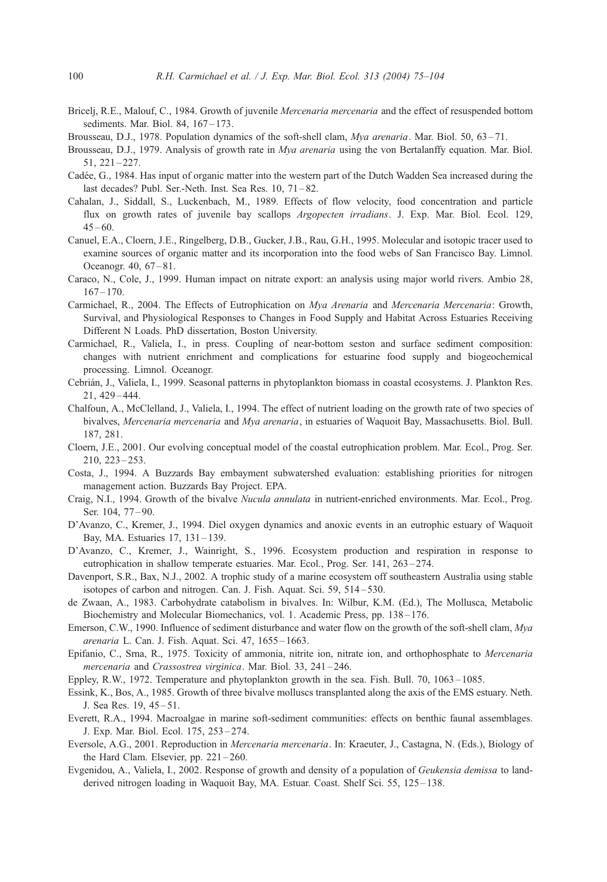- <span id="page-25-0"></span>Bricelj, R.E., Malouf, C., 1984. Growth of juvenile *Mercenaria mercenaria* and the effect of resuspended bottom sediments. Mar. Biol. 84, 167-173.
- Brousseau, D.J., 1978. Population dynamics of the soft-shell clam, *Mya arenaria*. Mar. Biol. 50, 63–71.
- Brousseau, D.J., 1979. Analysis of growth rate in Mya arenaria using the von Bertalanffy equation. Mar. Biol. 51, 221 – 227.
- Cadée, G., 1984. Has input of organic matter into the western part of the Dutch Wadden Sea increased during the last decades? Publ. Ser.-Neth. Inst. Sea Res. 10, 71-82.
- Cahalan, J., Siddall, S., Luckenbach, M., 1989. Effects of flow velocity, food concentration and particle flux on growth rates of juvenile bay scallops Argopecten irradians. J. Exp. Mar. Biol. Ecol. 129,  $45 - 60.$
- Canuel, E.A., Cloern, J.E., Ringelberg, D.B., Gucker, J.B., Rau, G.H., 1995. Molecular and isotopic tracer used to examine sources of organic matter and its incorporation into the food webs of San Francisco Bay. Limnol. Oceanogr. 40, 67-81.
- Caraco, N., Cole, J., 1999. Human impact on nitrate export: an analysis using major world rivers. Ambio 28,  $167 - 170.$
- Carmichael, R., 2004. The Effects of Eutrophication on Mya Arenaria and Mercenaria Mercenaria: Growth, Survival, and Physiological Responses to Changes in Food Supply and Habitat Across Estuaries Receiving Different N Loads. PhD dissertation, Boston University.
- Carmichael, R., Valiela, I., in press. Coupling of near-bottom seston and surface sediment composition: changes with nutrient enrichment and complications for estuarine food supply and biogeochemical processing. Limnol. Oceanogr.
- Cebria´n, J., Valiela, I., 1999. Seasonal patterns in phytoplankton biomass in coastal ecosystems. J. Plankton Res. 21, 429 – 444.
- Chalfoun, A., McClelland, J., Valiela, I., 1994. The effect of nutrient loading on the growth rate of two species of bivalves, Mercenaria mercenaria and Mya arenaria, in estuaries of Waquoit Bay, Massachusetts. Biol. Bull. 187, 281.
- Cloern, J.E., 2001. Our evolving conceptual model of the coastal eutrophication problem. Mar. Ecol., Prog. Ser. 210, 223 – 253.
- Costa, J., 1994. A Buzzards Bay embayment subwatershed evaluation: establishing priorities for nitrogen management action. Buzzards Bay Project. EPA.
- Craig, N.I., 1994. Growth of the bivalve Nucula annulata in nutrient-enriched environments. Mar. Ecol., Prog. Ser. 104, 77-90.
- D'Avanzo, C., Kremer, J., 1994. Diel oxygen dynamics and anoxic events in an eutrophic estuary of Waquoit Bay, MA. Estuaries 17, 131 – 139.
- D'Avanzo, C., Kremer, J., Wainright, S., 1996. Ecosystem production and respiration in response to eutrophication in shallow temperate estuaries. Mar. Ecol., Prog. Ser. 141, 263-274.
- Davenport, S.R., Bax, N.J., 2002. A trophic study of a marine ecosystem off southeastern Australia using stable isotopes of carbon and nitrogen. Can. J. Fish. Aquat. Sci. 59, 514 – 530.
- de Zwaan, A., 1983. Carbohydrate catabolism in bivalves. In: Wilbur, K.M. (Ed.), The Mollusca, Metabolic Biochemistry and Molecular Biomechanics, vol. 1. Academic Press, pp. 138-176.
- Emerson, C.W., 1990. Influence of sediment disturbance and water flow on the growth of the soft-shell clam, Mya arenaria L. Can. J. Fish. Aquat. Sci. 47, 1655 – 1663.
- Epifanio, C., Srna, R., 1975. Toxicity of ammonia, nitrite ion, nitrate ion, and orthophosphate to Mercenaria mercenaria and Crassostrea virginica. Mar. Biol. 33, 241 – 246.
- Eppley, R.W., 1972. Temperature and phytoplankton growth in the sea. Fish. Bull. 70, 1063 1085.
- Essink, K., Bos, A., 1985. Growth of three bivalve molluscs transplanted along the axis of the EMS estuary. Neth. J. Sea Res. 19, 45 – 51.
- Everett, R.A., 1994. Macroalgae in marine soft-sediment communities: effects on benthic faunal assemblages. J. Exp. Mar. Biol. Ecol. 175, 253 – 274.
- Eversole, A.G., 2001. Reproduction in Mercenaria mercenaria. In: Kraeuter, J., Castagna, N. (Eds.), Biology of the Hard Clam. Elsevier, pp. 221 – 260.
- Evgenidou, A., Valiela, I., 2002. Response of growth and density of a population of Geukensia demissa to landderived nitrogen loading in Waquoit Bay, MA. Estuar. Coast. Shelf Sci. 55, 125-138.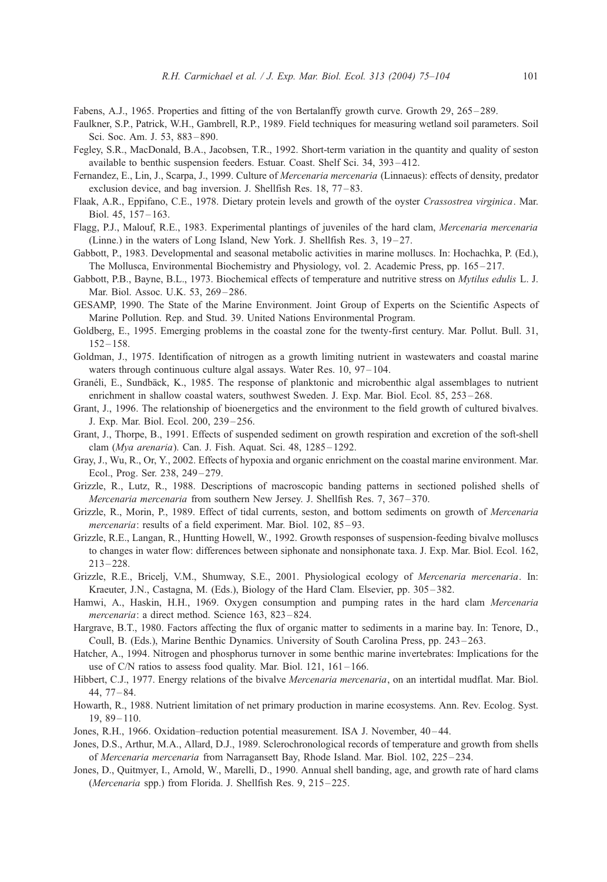- <span id="page-26-0"></span>Fabens, A.J., 1965. Properties and fitting of the von Bertalanffy growth curve. Growth 29, 265 – 289.
- Faulkner, S.P., Patrick, W.H., Gambrell, R.P., 1989. Field techniques for measuring wetland soil parameters. Soil Sci. Soc. Am. J. 53, 883 – 890.
- Fegley, S.R., MacDonald, B.A., Jacobsen, T.R., 1992. Short-term variation in the quantity and quality of seston available to benthic suspension feeders. Estuar. Coast. Shelf Sci. 34, 393 – 412.
- Fernandez, E., Lin, J., Scarpa, J., 1999. Culture of Mercenaria mercenaria (Linnaeus): effects of density, predator exclusion device, and bag inversion. J. Shellfish Res. 18, 77 – 83.
- Flaak, A.R., Eppifano, C.E., 1978. Dietary protein levels and growth of the oyster Crassostrea virginica. Mar. Biol. 45, 157 – 163.
- Flagg, P.J., Malouf, R.E., 1983. Experimental plantings of juveniles of the hard clam, Mercenaria mercenaria (Linne.) in the waters of Long Island, New York. J. Shellfish Res. 3, 19 – 27.
- Gabbott, P., 1983. Developmental and seasonal metabolic activities in marine molluscs. In: Hochachka, P. (Ed.), The Mollusca, Environmental Biochemistry and Physiology, vol. 2. Academic Press, pp. 165 – 217.
- Gabbott, P.B., Bayne, B.L., 1973. Biochemical effects of temperature and nutritive stress on *Mytilus edulis* L. J. Mar. Biol. Assoc. U.K. 53, 269-286.
- GESAMP, 1990. The State of the Marine Environment. Joint Group of Experts on the Scientific Aspects of Marine Pollution. Rep. and Stud. 39. United Nations Environmental Program.
- Goldberg, E., 1995. Emerging problems in the coastal zone for the twenty-first century. Mar. Pollut. Bull. 31,  $152 - 158$
- Goldman, J., 1975. Identification of nitrogen as a growth limiting nutrient in wastewaters and coastal marine waters through continuous culture algal assays. Water Res. 10, 97-104.
- Granéli, E., Sundbäck, K., 1985. The response of planktonic and microbenthic algal assemblages to nutrient enrichment in shallow coastal waters, southwest Sweden. J. Exp. Mar. Biol. Ecol. 85, 253-268.
- Grant, J., 1996. The relationship of bioenergetics and the environment to the field growth of cultured bivalves. J. Exp. Mar. Biol. Ecol. 200, 239 – 256.
- Grant, J., Thorpe, B., 1991. Effects of suspended sediment on growth respiration and excretion of the soft-shell clam (Mya arenaria). Can. J. Fish. Aquat. Sci. 48, 1285 – 1292.
- Gray, J., Wu, R., Or, Y., 2002. Effects of hypoxia and organic enrichment on the coastal marine environment. Mar. Ecol., Prog. Ser. 238, 249 – 279.
- Grizzle, R., Lutz, R., 1988. Descriptions of macroscopic banding patterns in sectioned polished shells of Mercenaria mercenaria from southern New Jersey. J. Shellfish Res. 7, 367-370.
- Grizzle, R., Morin, P., 1989. Effect of tidal currents, seston, and bottom sediments on growth of Mercenaria mercenaria: results of a field experiment. Mar. Biol. 102, 85-93.
- Grizzle, R.E., Langan, R., Huntting Howell, W., 1992. Growth responses of suspension-feeding bivalve molluscs to changes in water flow: differences between siphonate and nonsiphonate taxa. J. Exp. Mar. Biol. Ecol. 162,  $213 - 228$ .
- Grizzle, R.E., Bricelj, V.M., Shumway, S.E., 2001. Physiological ecology of Mercenaria mercenaria. In: Kraeuter, J.N., Castagna, M. (Eds.), Biology of the Hard Clam. Elsevier, pp. 305 – 382.
- Hamwi, A., Haskin, H.H., 1969. Oxygen consumption and pumping rates in the hard clam Mercenaria mercenaria: a direct method. Science 163, 823 – 824.
- Hargrave, B.T., 1980. Factors affecting the flux of organic matter to sediments in a marine bay. In: Tenore, D., Coull, B. (Eds.), Marine Benthic Dynamics. University of South Carolina Press, pp. 243 – 263.
- Hatcher, A., 1994. Nitrogen and phosphorus turnover in some benthic marine invertebrates: Implications for the use of C/N ratios to assess food quality. Mar. Biol.  $121$ ,  $161 - 166$ .
- Hibbert, C.J., 1977. Energy relations of the bivalve Mercenaria mercenaria, on an intertidal mudflat. Mar. Biol. 44, 77 – 84.
- Howarth, R., 1988. Nutrient limitation of net primary production in marine ecosystems. Ann. Rev. Ecolog. Syst. 19, 89 – 110.
- Jones, R.H., 1966. Oxidation–reduction potential measurement. ISA J. November, 40 44.
- Jones, D.S., Arthur, M.A., Allard, D.J., 1989. Sclerochronological records of temperature and growth from shells of Mercenaria mercenaria from Narragansett Bay, Rhode Island. Mar. Biol. 102, 225–234.
- Jones, D., Quitmyer, I., Arnold, W., Marelli, D., 1990. Annual shell banding, age, and growth rate of hard clams (Mercenaria spp.) from Florida. J. Shellfish Res. 9, 215-225.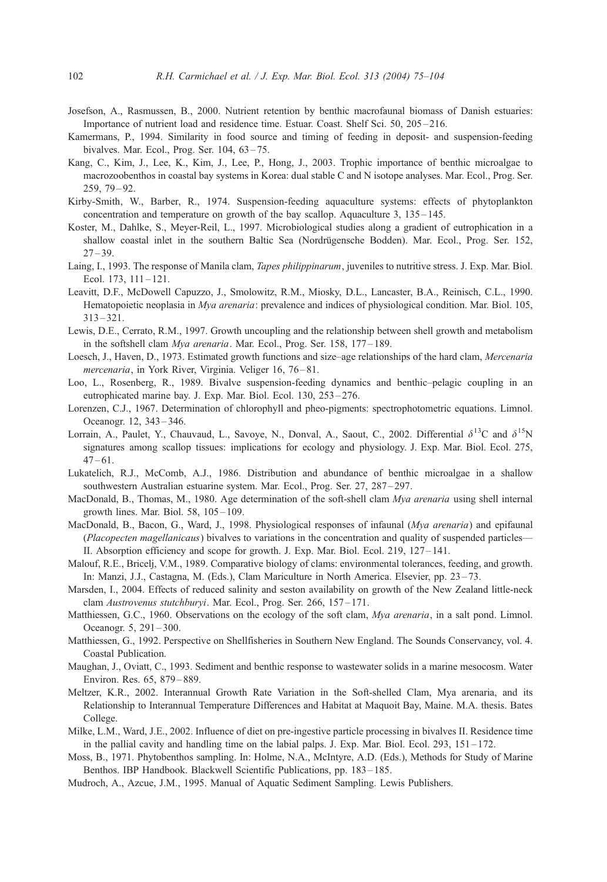- <span id="page-27-0"></span>Josefson, A., Rasmussen, B., 2000. Nutrient retention by benthic macrofaunal biomass of Danish estuaries: Importance of nutrient load and residence time. Estuar. Coast. Shelf Sci. 50, 205 – 216.
- Kamermans, P., 1994. Similarity in food source and timing of feeding in deposit- and suspension-feeding bivalves. Mar. Ecol., Prog. Ser. 104, 63 – 75.
- Kang, C., Kim, J., Lee, K., Kim, J., Lee, P., Hong, J., 2003. Trophic importance of benthic microalgae to macrozoobenthos in coastal bay systems in Korea: dual stable C and N isotope analyses. Mar. Ecol., Prog. Ser. 259, 79 – 92.
- Kirby-Smith, W., Barber, R., 1974. Suspension-feeding aquaculture systems: effects of phytoplankton concentration and temperature on growth of the bay scallop. Aquaculture 3, 135 – 145.
- Koster, M., Dahlke, S., Meyer-Reil, L., 1997. Microbiological studies along a gradient of eutrophication in a shallow coastal inlet in the southern Baltic Sea (Nordrügensche Bodden). Mar. Ecol., Prog. Ser. 152,  $27 - 39.$
- Laing, I., 1993. The response of Manila clam, *Tapes philippinarum*, juveniles to nutritive stress. J. Exp. Mar. Biol. Ecol. 173, 111 – 121.
- Leavitt, D.F., McDowell Capuzzo, J., Smolowitz, R.M., Miosky, D.L., Lancaster, B.A., Reinisch, C.L., 1990. Hematopoietic neoplasia in *Mya arenaria*: prevalence and indices of physiological condition. Mar. Biol. 105, 313 – 321.
- Lewis, D.E., Cerrato, R.M., 1997. Growth uncoupling and the relationship between shell growth and metabolism in the softshell clam Mya arenaria. Mar. Ecol., Prog. Ser. 158, 177-189.
- Loesch, J., Haven, D., 1973. Estimated growth functions and size–age relationships of the hard clam, Mercenaria mercenaria, in York River, Virginia. Veliger 16, 76-81.
- Loo, L., Rosenberg, R., 1989. Bivalve suspension-feeding dynamics and benthic–pelagic coupling in an eutrophicated marine bay. J. Exp. Mar. Biol. Ecol. 130, 253 – 276.
- Lorenzen, C.J., 1967. Determination of chlorophyll and pheo-pigments: spectrophotometric equations. Limnol. Oceanogr. 12, 343 – 346.
- Lorrain, A., Paulet, Y., Chauvaud, L., Savoye, N., Donval, A., Saout, C., 2002. Differential  $\delta^{13}C$  and  $\delta^{15}N$ signatures among scallop tissues: implications for ecology and physiology. J. Exp. Mar. Biol. Ecol. 275,  $47 - 61$ .
- Lukatelich, R.J., McComb, A.J., 1986. Distribution and abundance of benthic microalgae in a shallow southwestern Australian estuarine system. Mar. Ecol., Prog. Ser. 27, 287 – 297.
- MacDonald, B., Thomas, M., 1980. Age determination of the soft-shell clam Mya arenaria using shell internal growth lines. Mar. Biol. 58, 105 – 109.
- MacDonald, B., Bacon, G., Ward, J., 1998. Physiological responses of infaunal (Mya arenaria) and epifaunal (Placopecten magellanicaus) bivalves to variations in the concentration and quality of suspended particles— II. Absorption efficiency and scope for growth. J. Exp. Mar. Biol. Ecol. 219, 127 – 141.
- Malouf, R.E., Bricelj, V.M., 1989. Comparative biology of clams: environmental tolerances, feeding, and growth. In: Manzi, J.J., Castagna, M. (Eds.), Clam Mariculture in North America. Elsevier, pp. 23 – 73.
- Marsden, I., 2004. Effects of reduced salinity and seston availability on growth of the New Zealand little-neck clam Austrovenus stutchburyi. Mar. Ecol., Prog. Ser. 266, 157-171.
- Matthiessen, G.C., 1960. Observations on the ecology of the soft clam, Mya arenaria, in a salt pond. Limnol. Oceanogr. 5, 291 – 300.
- Matthiessen, G., 1992. Perspective on Shellfisheries in Southern New England. The Sounds Conservancy, vol. 4. Coastal Publication.
- Maughan, J., Oviatt, C., 1993. Sediment and benthic response to wastewater solids in a marine mesocosm. Water Environ. Res. 65, 879 – 889.
- Meltzer, K.R., 2002. Interannual Growth Rate Variation in the Soft-shelled Clam, Mya arenaria, and its Relationship to Interannual Temperature Differences and Habitat at Maquoit Bay, Maine. M.A. thesis. Bates College.
- Milke, L.M., Ward, J.E., 2002. Influence of diet on pre-ingestive particle processing in bivalves II. Residence time in the pallial cavity and handling time on the labial palps. J. Exp. Mar. Biol. Ecol.  $293$ ,  $151 - 172$ .
- Moss, B., 1971. Phytobenthos sampling. In: Holme, N.A., McIntyre, A.D. (Eds.), Methods for Study of Marine Benthos. IBP Handbook. Blackwell Scientific Publications, pp. 183-185.
- Mudroch, A., Azcue, J.M., 1995. Manual of Aquatic Sediment Sampling. Lewis Publishers.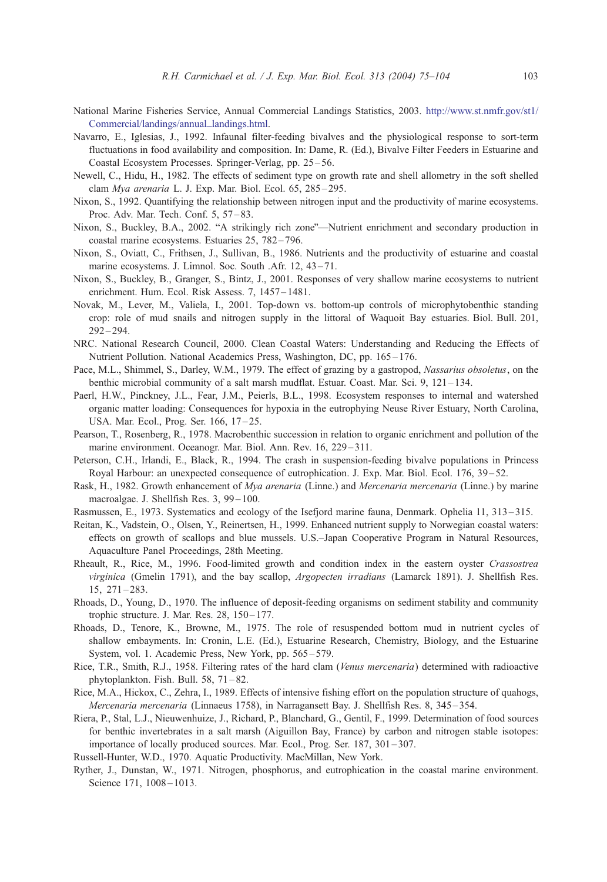- <span id="page-28-0"></span>National Marine Fisheries Service, Annual Commercial Landings Statistics, 2003. [http://www.st.nmfr.gov/st1/](http://www.st.nmfr.gov/st1/Commercial/landings/annual_landings.html) Commercial/landings/annual\_landings.html.
- Navarro, E., Iglesias, J., 1992. Infaunal filter-feeding bivalves and the physiological response to sort-term fluctuations in food availability and composition. In: Dame, R. (Ed.), Bivalve Filter Feeders in Estuarine and Coastal Ecosystem Processes. Springer-Verlag, pp. 25 – 56.
- Newell, C., Hidu, H., 1982. The effects of sediment type on growth rate and shell allometry in the soft shelled clam Mya arenaria L. J. Exp. Mar. Biol. Ecol. 65, 285-295.
- Nixon, S., 1992. Quantifying the relationship between nitrogen input and the productivity of marine ecosystems. Proc. Adv. Mar. Tech. Conf. 5, 57 – 83.
- Nixon, S., Buckley, B.A., 2002. "A strikingly rich zone"—Nutrient enrichment and secondary production in coastal marine ecosystems. Estuaries 25, 782 – 796.
- Nixon, S., Oviatt, C., Frithsen, J., Sullivan, B., 1986. Nutrients and the productivity of estuarine and coastal marine ecosystems. J. Limnol. Soc. South .Afr. 12, 43-71.
- Nixon, S., Buckley, B., Granger, S., Bintz, J., 2001. Responses of very shallow marine ecosystems to nutrient enrichment. Hum. Ecol. Risk Assess. 7, 1457-1481.
- Novak, M., Lever, M., Valiela, I., 2001. Top-down vs. bottom-up controls of microphytobenthic standing crop: role of mud snails and nitrogen supply in the littoral of Waquoit Bay estuaries. Biol. Bull. 201, 292 – 294.
- NRC. National Research Council, 2000. Clean Coastal Waters: Understanding and Reducing the Effects of Nutrient Pollution. National Academics Press, Washington, DC, pp. 165 – 176.
- Pace, M.L., Shimmel, S., Darley, W.M., 1979. The effect of grazing by a gastropod, Nassarius obsoletus, on the benthic microbial community of a salt marsh mudflat. Estuar. Coast. Mar. Sci. 9, 121 – 134.
- Paerl, H.W., Pinckney, J.L., Fear, J.M., Peierls, B.L., 1998. Ecosystem responses to internal and watershed organic matter loading: Consequences for hypoxia in the eutrophying Neuse River Estuary, North Carolina, USA. Mar. Ecol., Prog. Ser. 166, 17 – 25.
- Pearson, T., Rosenberg, R., 1978. Macrobenthic succession in relation to organic enrichment and pollution of the marine environment. Oceanogr. Mar. Biol. Ann. Rev. 16, 229-311.
- Peterson, C.H., Irlandi, E., Black, R., 1994. The crash in suspension-feeding bivalve populations in Princess Royal Harbour: an unexpected consequence of eutrophication. J. Exp. Mar. Biol. Ecol. 176, 39–52.
- Rask, H., 1982. Growth enhancement of *Mya arenaria* (Linne.) and *Mercenaria mercenaria* (Linne.) by marine macroalgae. J. Shellfish Res. 3, 99-100.
- Rasmussen, E., 1973. Systematics and ecology of the Isefjord marine fauna, Denmark. Ophelia 11, 313 315.
- Reitan, K., Vadstein, O., Olsen, Y., Reinertsen, H., 1999. Enhanced nutrient supply to Norwegian coastal waters: effects on growth of scallops and blue mussels. U.S.–Japan Cooperative Program in Natural Resources, Aquaculture Panel Proceedings, 28th Meeting.
- Rheault, R., Rice, M., 1996. Food-limited growth and condition index in the eastern oyster Crassostrea virginica (Gmelin 1791), and the bay scallop, *Argopecten irradians* (Lamarck 1891). J. Shellfish Res.  $15, 271 - 283.$
- Rhoads, D., Young, D., 1970. The influence of deposit-feeding organisms on sediment stability and community trophic structure. J. Mar. Res. 28, 150 – 177.
- Rhoads, D., Tenore, K., Browne, M., 1975. The role of resuspended bottom mud in nutrient cycles of shallow embayments. In: Cronin, L.E. (Ed.), Estuarine Research, Chemistry, Biology, and the Estuarine System, vol. 1. Academic Press, New York, pp. 565–579.
- Rice, T.R., Smith, R.J., 1958. Filtering rates of the hard clam (Venus mercenaria) determined with radioactive phytoplankton. Fish. Bull. 58, 71 – 82.
- Rice, M.A., Hickox, C., Zehra, I., 1989. Effects of intensive fishing effort on the population structure of quahogs, Mercenaria mercenaria (Linnaeus 1758), in Narragansett Bay. J. Shellfish Res. 8, 345 – 354.
- Riera, P., Stal, L.J., Nieuwenhuize, J., Richard, P., Blanchard, G., Gentil, F., 1999. Determination of food sources for benthic invertebrates in a salt marsh (Aiguillon Bay, France) by carbon and nitrogen stable isotopes: importance of locally produced sources. Mar. Ecol., Prog. Ser. 187, 301 – 307.

Russell-Hunter, W.D., 1970. Aquatic Productivity. MacMillan, New York.

Ryther, J., Dunstan, W., 1971. Nitrogen, phosphorus, and eutrophication in the coastal marine environment. Science 171, 1008-1013.